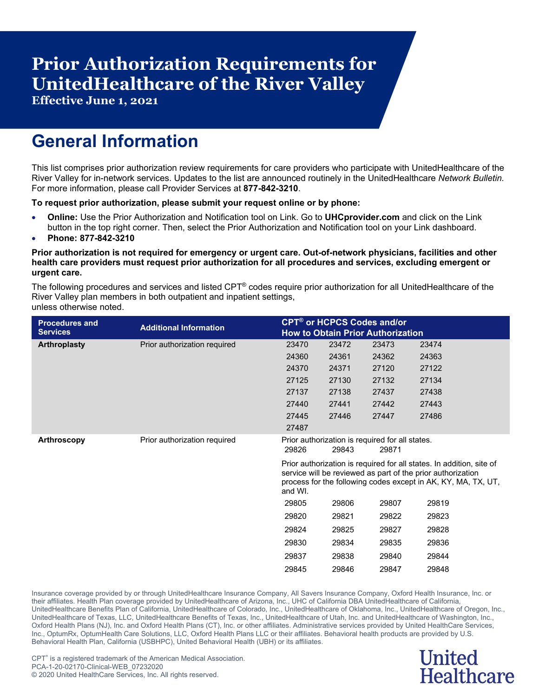# **Prior Authorization Requirements for UnitedHealthcare of the River Valley**

**Effective June 1, 2021**

## **General Information**

This list comprises prior authorization review requirements for care providers who participate with UnitedHealthcare of the River Valley for in-network services. Updates to the list are announced routinely in the UnitedHealthcare *Network Bulletin.* For more information, please call Provider Services at **877-842-3210**.

#### **To request prior authorization, please submit your request online or by phone:**

- **Online:** Use the Prior Authorization and Notification tool on Link. Go to **UHCprovider.com** and click on the Link button in the top right corner. Then, select the Prior Authorization and Notification tool on your Link dashboard.
- **Phone: 877-842-3210**

#### **Prior authorization is not required for emergency or urgent care. Out-of-network physicians, facilities and other health care providers must request prior authorization for all procedures and services, excluding emergent or urgent care.**

The following procedures and services and listed CPT® codes require prior authorization for all UnitedHealthcare of the River Valley plan members in both outpatient and inpatient settings, unless otherwise noted.

| <b>Procedures and</b> | <b>Additional Information</b> | <b>CPT<sup>®</sup> or HCPCS Codes and/or</b>                                                                                                                                                                    |       |                                                 |       |  |  |
|-----------------------|-------------------------------|-----------------------------------------------------------------------------------------------------------------------------------------------------------------------------------------------------------------|-------|-------------------------------------------------|-------|--|--|
| <b>Services</b>       |                               |                                                                                                                                                                                                                 |       | <b>How to Obtain Prior Authorization</b>        |       |  |  |
| <b>Arthroplasty</b>   | Prior authorization required  | 23470                                                                                                                                                                                                           | 23472 | 23473                                           | 23474 |  |  |
|                       |                               | 24360                                                                                                                                                                                                           | 24361 | 24362                                           | 24363 |  |  |
|                       |                               | 24370                                                                                                                                                                                                           | 24371 | 27120                                           | 27122 |  |  |
|                       |                               | 27125                                                                                                                                                                                                           | 27130 | 27132                                           | 27134 |  |  |
|                       |                               | 27137                                                                                                                                                                                                           | 27138 | 27437                                           | 27438 |  |  |
|                       |                               | 27440                                                                                                                                                                                                           | 27441 | 27442                                           | 27443 |  |  |
|                       |                               | 27445                                                                                                                                                                                                           | 27446 | 27447                                           | 27486 |  |  |
|                       |                               | 27487                                                                                                                                                                                                           |       |                                                 |       |  |  |
| <b>Arthroscopy</b>    | Prior authorization required  |                                                                                                                                                                                                                 |       | Prior authorization is required for all states. |       |  |  |
|                       |                               | 29826                                                                                                                                                                                                           | 29843 | 29871                                           |       |  |  |
|                       |                               | Prior authorization is required for all states. In addition, site of<br>service will be reviewed as part of the prior authorization<br>process for the following codes except in AK, KY, MA, TX, UT,<br>and WI. |       |                                                 |       |  |  |
|                       |                               | 29805                                                                                                                                                                                                           | 29806 | 29807                                           | 29819 |  |  |
|                       |                               | 29820                                                                                                                                                                                                           | 29821 | 29822                                           | 29823 |  |  |
|                       |                               | 29824                                                                                                                                                                                                           | 29825 | 29827                                           | 29828 |  |  |
|                       |                               | 29830                                                                                                                                                                                                           | 29834 | 29835                                           | 29836 |  |  |
|                       |                               | 29837                                                                                                                                                                                                           | 29838 | 29840                                           | 29844 |  |  |
|                       |                               | 29845                                                                                                                                                                                                           | 29846 | 29847                                           | 29848 |  |  |

Insurance coverage provided by or through UnitedHealthcare Insurance Company, All Savers Insurance Company, Oxford Health Insurance, Inc. or their affiliates. Health Plan coverage provided by UnitedHealthcare of Arizona, Inc., UHC of California DBA UnitedHealthcare of California, UnitedHealthcare Benefits Plan of California, UnitedHealthcare of Colorado, Inc., UnitedHealthcare of Oklahoma, Inc., UnitedHealthcare of Oregon, Inc., UnitedHealthcare of Texas, LLC, UnitedHealthcare Benefits of Texas, Inc., UnitedHealthcare of Utah, Inc. and UnitedHealthcare of Washington, Inc., Oxford Health Plans (NJ), Inc. and Oxford Health Plans (CT), Inc. or other affiliates. Administrative services provided by United HealthCare Services, Inc., OptumRx, OptumHealth Care Solutions, LLC, Oxford Health Plans LLC or their affiliates. Behavioral health products are provided by U.S. Behavioral Health Plan, California (USBHPC), United Behavioral Health (UBH) or its affiliates.

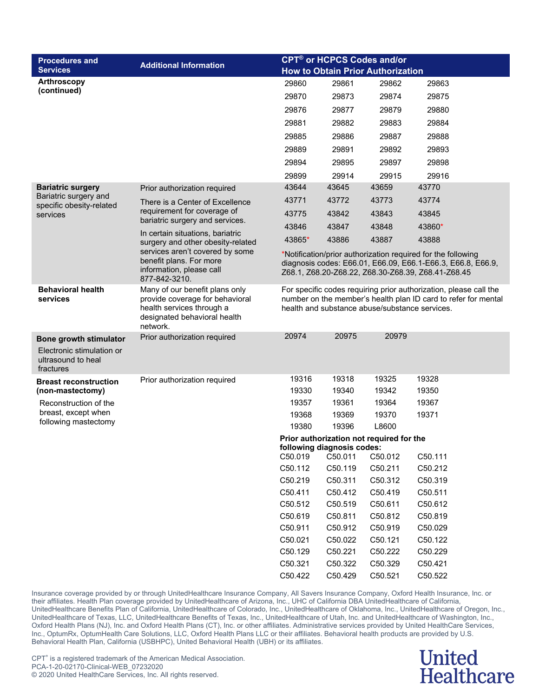| <b>Procedures and</b>                |                                                                                              |                                                                | <b>CPT<sup>®</sup> or HCPCS Codes and/or</b> |                                          |                                                                   |  |  |
|--------------------------------------|----------------------------------------------------------------------------------------------|----------------------------------------------------------------|----------------------------------------------|------------------------------------------|-------------------------------------------------------------------|--|--|
| <b>Services</b>                      | <b>Additional Information</b>                                                                |                                                                |                                              | <b>How to Obtain Prior Authorization</b> |                                                                   |  |  |
| <b>Arthroscopy</b>                   |                                                                                              | 29860                                                          | 29861                                        | 29862                                    | 29863                                                             |  |  |
| (continued)                          |                                                                                              | 29870                                                          | 29873                                        | 29874                                    | 29875                                                             |  |  |
|                                      |                                                                                              | 29876                                                          | 29877                                        | 29879                                    | 29880                                                             |  |  |
|                                      |                                                                                              | 29881                                                          | 29882                                        | 29883                                    | 29884                                                             |  |  |
|                                      |                                                                                              | 29885                                                          | 29886                                        | 29887                                    | 29888                                                             |  |  |
|                                      |                                                                                              | 29889                                                          | 29891                                        | 29892                                    | 29893                                                             |  |  |
|                                      |                                                                                              | 29894                                                          | 29895                                        | 29897                                    | 29898                                                             |  |  |
|                                      |                                                                                              | 29899                                                          | 29914                                        | 29915                                    | 29916                                                             |  |  |
| <b>Bariatric surgery</b>             | Prior authorization required                                                                 | 43644                                                          | 43645                                        | 43659                                    | 43770                                                             |  |  |
| Bariatric surgery and                | There is a Center of Excellence                                                              | 43771                                                          | 43772                                        | 43773                                    | 43774                                                             |  |  |
| specific obesity-related<br>services | requirement for coverage of                                                                  | 43775                                                          | 43842                                        | 43843                                    | 43845                                                             |  |  |
|                                      | bariatric surgery and services.                                                              | 43846                                                          | 43847                                        | 43848                                    | 43860*                                                            |  |  |
|                                      | In certain situations, bariatric                                                             | 43865*                                                         | 43886                                        | 43887                                    | 43888                                                             |  |  |
|                                      | surgery and other obesity-related<br>services aren't covered by some                         |                                                                |                                              |                                          | *Notification/prior authorization required for the following      |  |  |
|                                      | benefit plans. For more                                                                      |                                                                |                                              |                                          | diagnosis codes: E66.01, E66.09, E66.1-E66.3, E66.8, E66.9,       |  |  |
|                                      | information, please call<br>877-842-3210.                                                    | Z68.1, Z68.20-Z68.22, Z68.30-Z68.39, Z68.41-Z68.45             |                                              |                                          |                                                                   |  |  |
| <b>Behavioral health</b>             | Many of our benefit plans only                                                               |                                                                |                                              |                                          | For specific codes requiring prior authorization, please call the |  |  |
| services                             | provide coverage for behavioral<br>health services through a<br>designated behavioral health | number on the member's health plan ID card to refer for mental |                                              |                                          |                                                                   |  |  |
|                                      |                                                                                              | health and substance abuse/substance services.                 |                                              |                                          |                                                                   |  |  |
|                                      | network.                                                                                     |                                                                |                                              |                                          |                                                                   |  |  |
| Bone growth stimulator               | Prior authorization required                                                                 | 20974                                                          | 20975                                        | 20979                                    |                                                                   |  |  |
| Electronic stimulation or            |                                                                                              |                                                                |                                              |                                          |                                                                   |  |  |
| ultrasound to heal<br>fractures      |                                                                                              |                                                                |                                              |                                          |                                                                   |  |  |
| <b>Breast reconstruction</b>         | Prior authorization required                                                                 | 19316                                                          | 19318                                        | 19325                                    | 19328                                                             |  |  |
| (non-mastectomy)                     |                                                                                              | 19330                                                          | 19340                                        | 19342                                    | 19350                                                             |  |  |
| Reconstruction of the                |                                                                                              | 19357                                                          | 19361                                        | 19364                                    | 19367                                                             |  |  |
| breast, except when                  |                                                                                              | 19368                                                          | 19369                                        | 19370                                    | 19371                                                             |  |  |
| following mastectomy                 |                                                                                              | 19380                                                          | 19396                                        | L8600                                    |                                                                   |  |  |
|                                      |                                                                                              |                                                                |                                              | Prior authorization not required for the |                                                                   |  |  |
|                                      |                                                                                              | C50.019                                                        | following diagnosis codes:<br>C50.011        | C50.012                                  | C50.111                                                           |  |  |
|                                      |                                                                                              | C50.112                                                        | C50.119                                      | C50.211                                  | C50.212                                                           |  |  |
|                                      |                                                                                              | C50.219                                                        | C50.311                                      | C50.312                                  | C50.319                                                           |  |  |
|                                      |                                                                                              | C50.411                                                        | C50.412                                      | C50.419                                  | C50.511                                                           |  |  |
|                                      |                                                                                              | C50.512                                                        | C50.519                                      | C50.611                                  | C50.612                                                           |  |  |
|                                      |                                                                                              | C50.619                                                        | C50.811                                      | C50.812                                  | C50.819                                                           |  |  |
|                                      |                                                                                              | C50.911                                                        | C50.912                                      | C50.919                                  | C50.029                                                           |  |  |
|                                      |                                                                                              | C50.021                                                        | C50.022                                      | C50.121                                  | C50.122                                                           |  |  |
|                                      |                                                                                              | C50.129                                                        | C50.221                                      | C50.222                                  | C50.229                                                           |  |  |
|                                      |                                                                                              | C50.321                                                        | C50.322                                      | C50.329                                  | C50.421                                                           |  |  |
|                                      |                                                                                              | C50.422                                                        | C50.429                                      | C50.521                                  | C50.522                                                           |  |  |

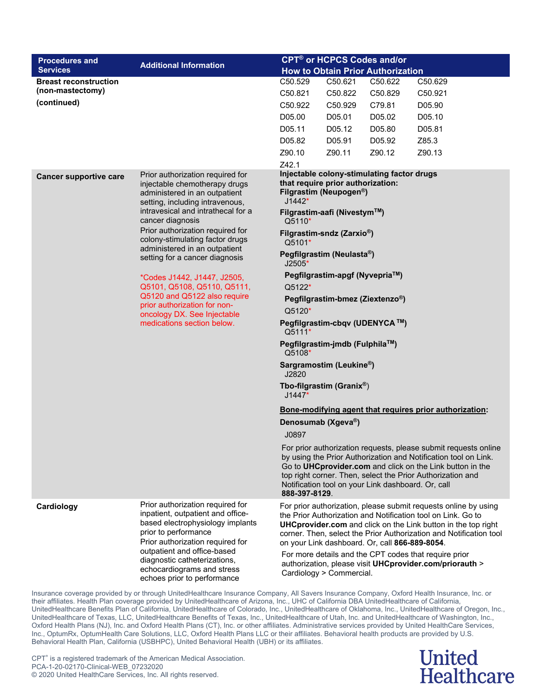| <b>Procedures and</b>         |                                                                                                                                                                                                                                                                                                   |                                                                                                                                                                               | <b>CPT<sup>®</sup> or HCPCS Codes and/or</b>                                                                                                                                                                                                                                          |         |                                                                                                                                                                                                                                                                                                                                                                                                   |  |  |
|-------------------------------|---------------------------------------------------------------------------------------------------------------------------------------------------------------------------------------------------------------------------------------------------------------------------------------------------|-------------------------------------------------------------------------------------------------------------------------------------------------------------------------------|---------------------------------------------------------------------------------------------------------------------------------------------------------------------------------------------------------------------------------------------------------------------------------------|---------|---------------------------------------------------------------------------------------------------------------------------------------------------------------------------------------------------------------------------------------------------------------------------------------------------------------------------------------------------------------------------------------------------|--|--|
| <b>Services</b>               | <b>Additional Information</b>                                                                                                                                                                                                                                                                     | <b>How to Obtain Prior Authorization</b>                                                                                                                                      |                                                                                                                                                                                                                                                                                       |         |                                                                                                                                                                                                                                                                                                                                                                                                   |  |  |
| <b>Breast reconstruction</b>  |                                                                                                                                                                                                                                                                                                   | C50.529                                                                                                                                                                       | C50.621                                                                                                                                                                                                                                                                               | C50.622 | C50.629                                                                                                                                                                                                                                                                                                                                                                                           |  |  |
| (non-mastectomy)              |                                                                                                                                                                                                                                                                                                   | C50.821                                                                                                                                                                       | C50.822                                                                                                                                                                                                                                                                               | C50.829 | C50.921                                                                                                                                                                                                                                                                                                                                                                                           |  |  |
| (continued)                   |                                                                                                                                                                                                                                                                                                   | C50.922                                                                                                                                                                       | C50.929                                                                                                                                                                                                                                                                               | C79.81  | D05.90                                                                                                                                                                                                                                                                                                                                                                                            |  |  |
|                               |                                                                                                                                                                                                                                                                                                   | D05.00                                                                                                                                                                        | D05.01                                                                                                                                                                                                                                                                                | D05.02  | D05.10                                                                                                                                                                                                                                                                                                                                                                                            |  |  |
|                               |                                                                                                                                                                                                                                                                                                   | D05.11                                                                                                                                                                        | D05.12                                                                                                                                                                                                                                                                                | D05.80  | D05.81                                                                                                                                                                                                                                                                                                                                                                                            |  |  |
|                               |                                                                                                                                                                                                                                                                                                   | D05.82                                                                                                                                                                        | D05.91                                                                                                                                                                                                                                                                                | D05.92  | Z85.3                                                                                                                                                                                                                                                                                                                                                                                             |  |  |
|                               |                                                                                                                                                                                                                                                                                                   | Z90.10                                                                                                                                                                        | Z90.11                                                                                                                                                                                                                                                                                | Z90.12  | Z90.13                                                                                                                                                                                                                                                                                                                                                                                            |  |  |
|                               |                                                                                                                                                                                                                                                                                                   | Z42.1                                                                                                                                                                         |                                                                                                                                                                                                                                                                                       |         |                                                                                                                                                                                                                                                                                                                                                                                                   |  |  |
| <b>Cancer supportive care</b> | Prior authorization required for<br>injectable chemotherapy drugs<br>administered in an outpatient<br>setting, including intravenous,<br>intravesical and intrathecal for a<br>cancer diagnosis                                                                                                   | Injectable colony-stimulating factor drugs<br>that require prior authorization:<br>Filgrastim (Neupogen <sup>®</sup> )<br>$J1442*$<br>Filgrastim-aafi (Nivestym™)<br>$Q5110*$ |                                                                                                                                                                                                                                                                                       |         |                                                                                                                                                                                                                                                                                                                                                                                                   |  |  |
|                               | Prior authorization required for<br>colony-stimulating factor drugs                                                                                                                                                                                                                               | Q5101*                                                                                                                                                                        | Filgrastim-sndz (Zarxio <sup>®</sup> )                                                                                                                                                                                                                                                |         |                                                                                                                                                                                                                                                                                                                                                                                                   |  |  |
|                               | administered in an outpatient<br>setting for a cancer diagnosis                                                                                                                                                                                                                                   | $J2505*$                                                                                                                                                                      | Pegfilgrastim (Neulasta®)                                                                                                                                                                                                                                                             |         |                                                                                                                                                                                                                                                                                                                                                                                                   |  |  |
|                               | *Codes J1442, J1447, J2505,<br>Q5101, Q5108, Q5110, Q5111,<br>Q5120 and Q5122 also require<br>prior authorization for non-<br>oncology DX. See Injectable<br>medications section below.                                                                                                           | Q5122*<br>Q5120*<br>Q5111*<br>Q5108*<br>J2820<br>$J1447*$<br>J0897<br>888-397-8129.                                                                                           | Pegfilgrastim-apgf (Nyvepria™)<br>Pegfilgrastim-bmez (Ziextenzo®)<br>Pegfilgrastim-cbqv (UDENYCA ™)<br>Pegfilgrastim-jmdb (Fulphila™)<br>Sargramostim (Leukine®)<br>Tbo-filgrastim (Granix®)<br>Denosumab (Xgeva <sup>®</sup> )<br>Notification tool on your Link dashboard. Or, call |         | Bone-modifying agent that requires prior authorization:<br>For prior authorization requests, please submit requests online<br>by using the Prior Authorization and Notification tool on Link.<br>Go to UHCprovider.com and click on the Link button in the<br>top right corner. Then, select the Prior Authorization and                                                                          |  |  |
| Cardiology                    | Prior authorization required for<br>inpatient, outpatient and office-<br>based electrophysiology implants<br>prior to performance<br>Prior authorization required for<br>outpatient and office-based<br>diagnostic catheterizations,<br>echocardiograms and stress<br>echoes prior to performance |                                                                                                                                                                               | on your Link dashboard. Or, call 866-889-8054.<br>Cardiology > Commercial.                                                                                                                                                                                                            |         | For prior authorization, please submit requests online by using<br>the Prior Authorization and Notification tool on Link. Go to<br><b>UHCprovider.com</b> and click on the Link button in the top right<br>corner. Then, select the Prior Authorization and Notification tool<br>For more details and the CPT codes that require prior<br>authorization, please visit UHCprovider.com/priorauth > |  |  |

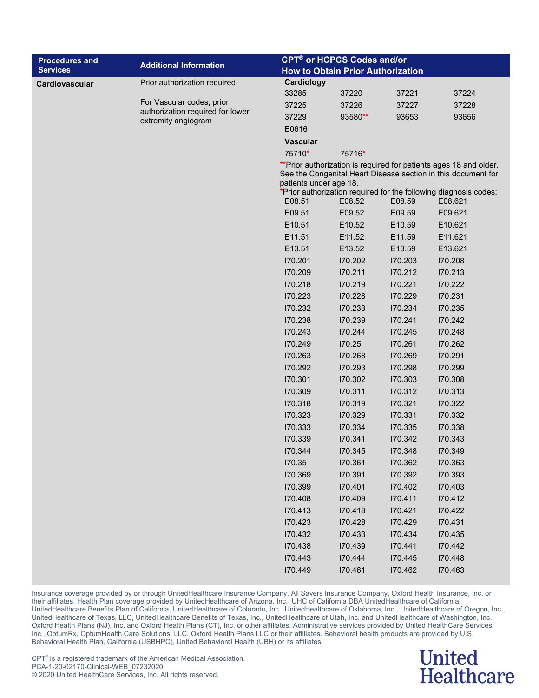| <b>CPT<sup>®</sup> or HCPCS Codes and/or</b><br><b>Procedures and</b>                        |                                                                                                                                                                                                         |  |  |  |  |  |
|----------------------------------------------------------------------------------------------|---------------------------------------------------------------------------------------------------------------------------------------------------------------------------------------------------------|--|--|--|--|--|
| <b>Additional Information</b><br><b>Services</b><br><b>How to Obtain Prior Authorization</b> |                                                                                                                                                                                                         |  |  |  |  |  |
| Cardiology<br>Prior authorization required<br>Cardiovascular                                 |                                                                                                                                                                                                         |  |  |  |  |  |
| 33285<br>37220<br>37221                                                                      | 37224                                                                                                                                                                                                   |  |  |  |  |  |
| For Vascular codes, prior<br>37225<br>37226<br>37227<br>authorization required for lower     | 37228                                                                                                                                                                                                   |  |  |  |  |  |
| 37229<br>93580**<br>93653<br>extremity angiogram                                             | 93656                                                                                                                                                                                                   |  |  |  |  |  |
| E0616                                                                                        |                                                                                                                                                                                                         |  |  |  |  |  |
| <b>Vascular</b>                                                                              |                                                                                                                                                                                                         |  |  |  |  |  |
| 75710*<br>75716*                                                                             |                                                                                                                                                                                                         |  |  |  |  |  |
| patients under age 18.                                                                       | ** Prior authorization is required for patients ages 18 and older.<br>See the Congenital Heart Disease section in this document for<br>*Prior authorization required for the following diagnosis codes: |  |  |  |  |  |
| E08.51<br>E08.52<br>E08.59                                                                   | E08.621                                                                                                                                                                                                 |  |  |  |  |  |
| E09.51<br>E09.52<br>E09.59                                                                   | E09.621                                                                                                                                                                                                 |  |  |  |  |  |
| E10.51<br>E10.52<br>E10.59                                                                   | E10.621                                                                                                                                                                                                 |  |  |  |  |  |
| E11.51<br>E11.52<br>E11.59                                                                   | E11.621                                                                                                                                                                                                 |  |  |  |  |  |
| E13.51<br>E13.52<br>E13.59                                                                   | E13.621                                                                                                                                                                                                 |  |  |  |  |  |
| 170.201<br>170.202<br>170.203                                                                | 170.208                                                                                                                                                                                                 |  |  |  |  |  |
| 170.209<br>170.211<br>170.212                                                                | 170.213                                                                                                                                                                                                 |  |  |  |  |  |
| 170.218<br>170.219<br>170.221                                                                | 170.222                                                                                                                                                                                                 |  |  |  |  |  |
| 170.223<br>170.228<br>170.229                                                                | 170.231                                                                                                                                                                                                 |  |  |  |  |  |
| 170.232<br>170.233<br>170.234                                                                | 170.235                                                                                                                                                                                                 |  |  |  |  |  |
| 170.239<br>170.241<br>170.238                                                                | 170.242                                                                                                                                                                                                 |  |  |  |  |  |
| 170.243<br>170.244<br>170.245                                                                | 170.248                                                                                                                                                                                                 |  |  |  |  |  |
| 170.249<br>170.25<br>170.261                                                                 | 170.262                                                                                                                                                                                                 |  |  |  |  |  |
| 170.263<br>170.268<br>170.269                                                                | 170.291                                                                                                                                                                                                 |  |  |  |  |  |
| 170.292<br>170.293<br>170.298                                                                | 170.299                                                                                                                                                                                                 |  |  |  |  |  |
| 170.301<br>170.302<br>170.303                                                                | 170.308                                                                                                                                                                                                 |  |  |  |  |  |
| 170.309<br>170.311<br>170.312                                                                | 170.313                                                                                                                                                                                                 |  |  |  |  |  |
| 170.318<br>170.319<br>170.321                                                                | 170.322                                                                                                                                                                                                 |  |  |  |  |  |
| 170.323<br>170.329<br>170.331                                                                | 170.332                                                                                                                                                                                                 |  |  |  |  |  |
| 170.333<br>170.334<br>170.335                                                                | 170.338                                                                                                                                                                                                 |  |  |  |  |  |
| 170.339<br>170.341<br>170.342                                                                | 170.343                                                                                                                                                                                                 |  |  |  |  |  |
| 170.344<br>170.345<br>170.348                                                                | 170.349                                                                                                                                                                                                 |  |  |  |  |  |
| 170.35<br>170.361<br>170.362                                                                 | 170.363                                                                                                                                                                                                 |  |  |  |  |  |
| 170.369<br>170.391<br>170.392                                                                | 170.393                                                                                                                                                                                                 |  |  |  |  |  |
| 170.399<br>170.401<br>170.402                                                                | 170.403                                                                                                                                                                                                 |  |  |  |  |  |
| 170.408<br>170.409<br>170.411                                                                | 170.412                                                                                                                                                                                                 |  |  |  |  |  |
| 170.413<br>170.418<br>170.421                                                                | 170.422                                                                                                                                                                                                 |  |  |  |  |  |
| 170.423<br>170.428<br>170.429                                                                | 170.431                                                                                                                                                                                                 |  |  |  |  |  |
| 170.432<br>170.433<br>170.434                                                                | 170.435                                                                                                                                                                                                 |  |  |  |  |  |
| 170.438<br>170.439<br>170.441                                                                | 170.442                                                                                                                                                                                                 |  |  |  |  |  |
| 170.445<br>170.443<br>170.444<br>170.449<br>170.461<br>170.462                               | 170.448<br>170.463                                                                                                                                                                                      |  |  |  |  |  |

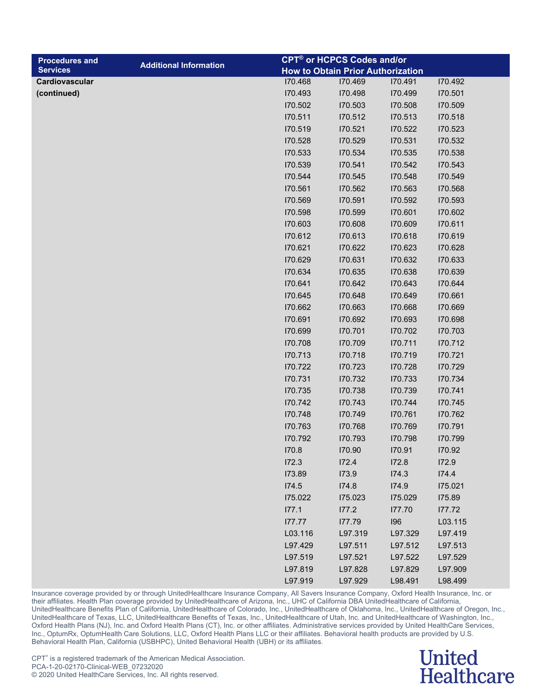| <b>Procedures and</b> |                               |         | <b>CPT<sup>®</sup> or HCPCS Codes and/or</b> |         |         |  |
|-----------------------|-------------------------------|---------|----------------------------------------------|---------|---------|--|
| <b>Services</b>       | <b>Additional Information</b> |         | <b>How to Obtain Prior Authorization</b>     |         |         |  |
| Cardiovascular        |                               | 170.468 | 170.469                                      | 170.491 | 170.492 |  |
| (continued)           |                               | 170.493 | 170.498                                      | 170.499 | 170.501 |  |
|                       |                               | 170.502 | 170.503                                      | 170.508 | 170.509 |  |
|                       |                               | 170.511 | 170.512                                      | 170.513 | 170.518 |  |
|                       |                               | 170.519 | 170.521                                      | 170.522 | 170.523 |  |
|                       |                               | 170.528 | 170.529                                      | 170.531 | 170.532 |  |
|                       |                               | 170.533 | 170.534                                      | 170.535 | 170.538 |  |
|                       |                               | 170.539 | 170.541                                      | 170.542 | 170.543 |  |
|                       |                               | 170.544 | 170.545                                      | 170.548 | 170.549 |  |
|                       |                               | 170.561 | 170.562                                      | 170.563 | 170.568 |  |
|                       |                               | 170.569 | 170.591                                      | 170.592 | 170.593 |  |
|                       |                               | 170.598 | 170.599                                      | 170.601 | 170.602 |  |
|                       |                               | 170.603 | 170.608                                      | 170.609 | 170.611 |  |
|                       |                               | 170.612 | 170.613                                      | 170.618 | 170.619 |  |
|                       |                               | 170.621 | 170.622                                      | 170.623 | 170.628 |  |
|                       |                               | 170.629 | 170.631                                      | 170.632 | 170.633 |  |
|                       |                               | 170.634 | 170.635                                      | 170.638 | 170.639 |  |
|                       |                               | 170.641 | 170.642                                      | 170.643 | 170.644 |  |
|                       |                               | 170.645 | 170.648                                      | 170.649 | 170.661 |  |
|                       |                               | 170.662 | 170.663                                      | 170.668 | 170.669 |  |
|                       |                               | 170.691 | 170.692                                      | 170.693 | 170.698 |  |
|                       |                               | 170.699 | 170.701                                      | 170.702 | 170.703 |  |
|                       |                               | 170.708 | 170.709                                      | 170.711 | 170.712 |  |
|                       |                               | 170.713 | 170.718                                      | 170.719 | 170.721 |  |
|                       |                               | 170.722 | 170.723                                      | 170.728 | 170.729 |  |
|                       |                               | 170.731 | 170.732                                      | 170.733 | 170.734 |  |
|                       |                               | 170.735 | 170.738                                      | 170.739 | 170.741 |  |
|                       |                               | 170.742 | 170.743                                      | 170.744 | 170.745 |  |
|                       |                               | 170.748 | 170.749                                      | 170.761 | 170.762 |  |
|                       |                               | 170.763 | 170.768                                      | 170.769 | 170.791 |  |
|                       |                               | 170.792 | 170.793                                      | 170.798 | 170.799 |  |
|                       |                               | 170.8   | 170.90                                       | 170.91  | 170.92  |  |
|                       |                               | 172.3   | 172.4                                        | 172.8   | 172.9   |  |
|                       |                               | 173.89  | 173.9                                        | I74.3   | 174.4   |  |
|                       |                               | 174.5   | 174.8                                        | 174.9   | 175.021 |  |
|                       |                               | 175.022 | 175.023                                      | 175.029 | 175.89  |  |
|                       |                               | 177.1   | 177.2                                        | 177.70  | 177.72  |  |
|                       |                               | 177.77  | 177.79                                       | 196     | L03.115 |  |
|                       |                               | L03.116 | L97.319                                      | L97.329 | L97.419 |  |
|                       |                               | L97.429 | L97.511                                      | L97.512 | L97.513 |  |
|                       |                               | L97.519 | L97.521                                      | L97.522 | L97.529 |  |
|                       |                               | L97.819 | L97.828                                      | L97.829 | L97.909 |  |

#### **United Healthcare**

L97.919 L97.929 L98.491 L98.499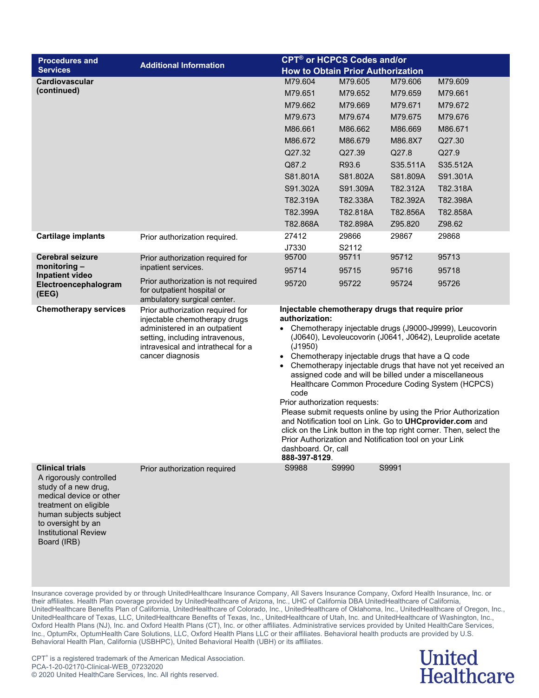| <b>Procedures and</b>                                                                                                                                                                                                       | <b>Additional Information</b>                                                                                                                                                                   | <b>CPT<sup>®</sup> or HCPCS Codes and/or</b>                                                                                                                                                                                                                                                                                                                                                                                                                                                                                                                                                                                                                                                                                                                                        |          |          |          |  |  |
|-----------------------------------------------------------------------------------------------------------------------------------------------------------------------------------------------------------------------------|-------------------------------------------------------------------------------------------------------------------------------------------------------------------------------------------------|-------------------------------------------------------------------------------------------------------------------------------------------------------------------------------------------------------------------------------------------------------------------------------------------------------------------------------------------------------------------------------------------------------------------------------------------------------------------------------------------------------------------------------------------------------------------------------------------------------------------------------------------------------------------------------------------------------------------------------------------------------------------------------------|----------|----------|----------|--|--|
| <b>Services</b>                                                                                                                                                                                                             |                                                                                                                                                                                                 | <b>How to Obtain Prior Authorization</b>                                                                                                                                                                                                                                                                                                                                                                                                                                                                                                                                                                                                                                                                                                                                            |          |          |          |  |  |
| <b>Cardiovascular</b>                                                                                                                                                                                                       |                                                                                                                                                                                                 | M79.604                                                                                                                                                                                                                                                                                                                                                                                                                                                                                                                                                                                                                                                                                                                                                                             | M79.605  | M79.606  | M79.609  |  |  |
| (continued)                                                                                                                                                                                                                 |                                                                                                                                                                                                 | M79.651                                                                                                                                                                                                                                                                                                                                                                                                                                                                                                                                                                                                                                                                                                                                                                             | M79.652  | M79.659  | M79.661  |  |  |
|                                                                                                                                                                                                                             |                                                                                                                                                                                                 | M79.662                                                                                                                                                                                                                                                                                                                                                                                                                                                                                                                                                                                                                                                                                                                                                                             | M79.669  | M79.671  | M79.672  |  |  |
|                                                                                                                                                                                                                             |                                                                                                                                                                                                 | M79.673                                                                                                                                                                                                                                                                                                                                                                                                                                                                                                                                                                                                                                                                                                                                                                             | M79.674  | M79.675  | M79.676  |  |  |
|                                                                                                                                                                                                                             |                                                                                                                                                                                                 | M86.661                                                                                                                                                                                                                                                                                                                                                                                                                                                                                                                                                                                                                                                                                                                                                                             | M86.662  | M86.669  | M86.671  |  |  |
|                                                                                                                                                                                                                             |                                                                                                                                                                                                 | M86.672                                                                                                                                                                                                                                                                                                                                                                                                                                                                                                                                                                                                                                                                                                                                                                             | M86.679  | M86.8X7  | Q27.30   |  |  |
|                                                                                                                                                                                                                             |                                                                                                                                                                                                 | Q27.32                                                                                                                                                                                                                                                                                                                                                                                                                                                                                                                                                                                                                                                                                                                                                                              | Q27.39   | Q27.8    | Q27.9    |  |  |
|                                                                                                                                                                                                                             |                                                                                                                                                                                                 | Q87.2                                                                                                                                                                                                                                                                                                                                                                                                                                                                                                                                                                                                                                                                                                                                                                               | R93.6    | S35.511A | S35.512A |  |  |
|                                                                                                                                                                                                                             |                                                                                                                                                                                                 | S81.801A                                                                                                                                                                                                                                                                                                                                                                                                                                                                                                                                                                                                                                                                                                                                                                            | S81.802A | S81.809A | S91.301A |  |  |
|                                                                                                                                                                                                                             |                                                                                                                                                                                                 | S91.302A                                                                                                                                                                                                                                                                                                                                                                                                                                                                                                                                                                                                                                                                                                                                                                            | S91.309A | T82.312A | T82.318A |  |  |
|                                                                                                                                                                                                                             |                                                                                                                                                                                                 | T82.319A                                                                                                                                                                                                                                                                                                                                                                                                                                                                                                                                                                                                                                                                                                                                                                            | T82.338A | T82.392A | T82.398A |  |  |
|                                                                                                                                                                                                                             |                                                                                                                                                                                                 | T82.399A                                                                                                                                                                                                                                                                                                                                                                                                                                                                                                                                                                                                                                                                                                                                                                            | T82.818A | T82.856A | T82.858A |  |  |
|                                                                                                                                                                                                                             |                                                                                                                                                                                                 | T82.868A                                                                                                                                                                                                                                                                                                                                                                                                                                                                                                                                                                                                                                                                                                                                                                            | T82.898A | Z95.820  | Z98.62   |  |  |
| <b>Cartilage implants</b>                                                                                                                                                                                                   | Prior authorization required.                                                                                                                                                                   | 27412                                                                                                                                                                                                                                                                                                                                                                                                                                                                                                                                                                                                                                                                                                                                                                               | 29866    | 29867    | 29868    |  |  |
|                                                                                                                                                                                                                             |                                                                                                                                                                                                 | J7330                                                                                                                                                                                                                                                                                                                                                                                                                                                                                                                                                                                                                                                                                                                                                                               | S2112    |          |          |  |  |
| <b>Cerebral seizure</b><br>monitoring $-$                                                                                                                                                                                   | Prior authorization required for                                                                                                                                                                | 95700                                                                                                                                                                                                                                                                                                                                                                                                                                                                                                                                                                                                                                                                                                                                                                               | 95711    | 95712    | 95713    |  |  |
| Inpatient video                                                                                                                                                                                                             | inpatient services.                                                                                                                                                                             | 95714                                                                                                                                                                                                                                                                                                                                                                                                                                                                                                                                                                                                                                                                                                                                                                               | 95715    | 95716    | 95718    |  |  |
| Electroencephalogram<br>(EEG)                                                                                                                                                                                               | Prior authorization is not required<br>for outpatient hospital or<br>ambulatory surgical center.                                                                                                | 95720                                                                                                                                                                                                                                                                                                                                                                                                                                                                                                                                                                                                                                                                                                                                                                               | 95722    | 95724    | 95726    |  |  |
| <b>Chemotherapy services</b>                                                                                                                                                                                                | Prior authorization required for<br>injectable chemotherapy drugs<br>administered in an outpatient<br>setting, including intravenous,<br>intravesical and intrathecal for a<br>cancer diagnosis | Injectable chemotherapy drugs that require prior<br>authorization:<br>Chemotherapy injectable drugs (J9000-J9999), Leucovorin<br>(J0640), Levoleucovorin (J0641, J0642), Leuprolide acetate<br>(J1950)<br>Chemotherapy injectable drugs that have a Q code<br>$\bullet$<br>Chemotherapy injectable drugs that have not yet received an<br>assigned code and will be billed under a miscellaneous<br>Healthcare Common Procedure Coding System (HCPCS)<br>code<br>Prior authorization requests:<br>Please submit requests online by using the Prior Authorization<br>and Notification tool on Link. Go to UHCprovider.com and<br>click on the Link button in the top right corner. Then, select the<br>Prior Authorization and Notification tool on your Link<br>dashboard. Or, call |          |          |          |  |  |
| <b>Clinical trials</b><br>A rigorously controlled<br>study of a new drug,<br>medical device or other<br>treatment on eligible<br>human subjects subject<br>to oversight by an<br><b>Institutional Review</b><br>Board (IRB) | Prior authorization required                                                                                                                                                                    | 888-397-8129.<br>S9988                                                                                                                                                                                                                                                                                                                                                                                                                                                                                                                                                                                                                                                                                                                                                              | S9990    | S9991    |          |  |  |

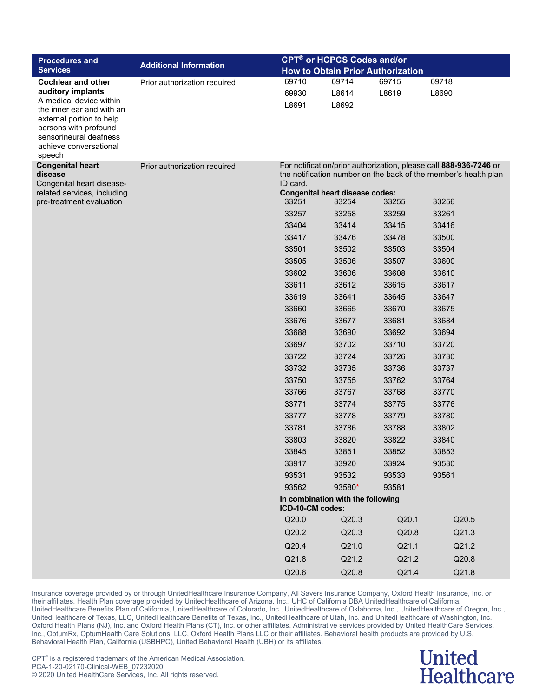| <b>Procedures and</b>                                                                                                                        |                               |                  | <b>CPT<sup>®</sup> or HCPCS Codes and/or</b> |       |                                                                                                                                      |
|----------------------------------------------------------------------------------------------------------------------------------------------|-------------------------------|------------------|----------------------------------------------|-------|--------------------------------------------------------------------------------------------------------------------------------------|
| <b>Services</b>                                                                                                                              | <b>Additional Information</b> |                  | <b>How to Obtain Prior Authorization</b>     |       |                                                                                                                                      |
| <b>Cochlear and other</b>                                                                                                                    | Prior authorization required  | 69710            | 69714                                        | 69715 | 69718                                                                                                                                |
| auditory implants<br>A medical device within                                                                                                 |                               | 69930            | L8614                                        | L8619 | L8690                                                                                                                                |
| the inner ear and with an<br>external portion to help<br>persons with profound<br>sensorineural deafness<br>achieve conversational<br>speech |                               | L8691            | L8692                                        |       |                                                                                                                                      |
| <b>Congenital heart</b><br>disease                                                                                                           | Prior authorization required  |                  |                                              |       | For notification/prior authorization, please call 888-936-7246 or<br>the notification number on the back of the member's health plan |
| Congenital heart disease-<br>related services, including                                                                                     |                               | ID card.         | <b>Congenital heart disease codes:</b>       |       |                                                                                                                                      |
| pre-treatment evaluation                                                                                                                     |                               | 33251            | 33254                                        | 33255 | 33256                                                                                                                                |
|                                                                                                                                              |                               | 33257            | 33258                                        | 33259 | 33261                                                                                                                                |
|                                                                                                                                              |                               | 33404            | 33414                                        | 33415 | 33416                                                                                                                                |
|                                                                                                                                              |                               | 33417            | 33476                                        | 33478 | 33500                                                                                                                                |
|                                                                                                                                              |                               | 33501            | 33502                                        | 33503 | 33504                                                                                                                                |
|                                                                                                                                              |                               | 33505            | 33506                                        | 33507 | 33600                                                                                                                                |
|                                                                                                                                              |                               | 33602            | 33606                                        | 33608 | 33610                                                                                                                                |
|                                                                                                                                              |                               | 33611            | 33612                                        | 33615 | 33617                                                                                                                                |
|                                                                                                                                              |                               | 33619            | 33641                                        | 33645 | 33647                                                                                                                                |
|                                                                                                                                              |                               | 33660            | 33665                                        | 33670 | 33675                                                                                                                                |
|                                                                                                                                              |                               | 33676            | 33677                                        | 33681 | 33684                                                                                                                                |
|                                                                                                                                              |                               | 33688            | 33690                                        | 33692 | 33694                                                                                                                                |
|                                                                                                                                              |                               | 33697            | 33702                                        | 33710 | 33720                                                                                                                                |
|                                                                                                                                              |                               | 33722            | 33724                                        | 33726 | 33730                                                                                                                                |
|                                                                                                                                              |                               | 33732            | 33735                                        | 33736 | 33737                                                                                                                                |
|                                                                                                                                              |                               | 33750            | 33755                                        | 33762 | 33764                                                                                                                                |
|                                                                                                                                              |                               | 33766            | 33767                                        | 33768 | 33770                                                                                                                                |
|                                                                                                                                              |                               | 33771            | 33774                                        | 33775 | 33776                                                                                                                                |
|                                                                                                                                              |                               | 33777            | 33778                                        | 33779 | 33780                                                                                                                                |
|                                                                                                                                              |                               | 33781            | 33786                                        | 33788 | 33802                                                                                                                                |
|                                                                                                                                              |                               | 33803            | 33820                                        | 33822 | 33840                                                                                                                                |
|                                                                                                                                              |                               | 33845            | 33851                                        | 33852 | 33853                                                                                                                                |
|                                                                                                                                              |                               | 33917            | 33920                                        | 33924 | 93530                                                                                                                                |
|                                                                                                                                              |                               | 93531            | 93532                                        | 93533 | 93561                                                                                                                                |
|                                                                                                                                              |                               | 93562            | 93580*                                       | 93581 |                                                                                                                                      |
|                                                                                                                                              |                               | ICD-10-CM codes: | In combination with the following            |       |                                                                                                                                      |
|                                                                                                                                              |                               | Q20.0            | Q20.3                                        | Q20.1 | Q20.5                                                                                                                                |
|                                                                                                                                              |                               | Q20.2            | Q20.3                                        | Q20.8 | Q21.3                                                                                                                                |
|                                                                                                                                              |                               | Q20.4            | Q21.0                                        | Q21.1 | Q21.2                                                                                                                                |
|                                                                                                                                              |                               | Q21.8            | Q21.2                                        | Q21.2 | Q20.8                                                                                                                                |
|                                                                                                                                              |                               | Q20.6            | Q20.8                                        | Q21.4 | Q21.8                                                                                                                                |

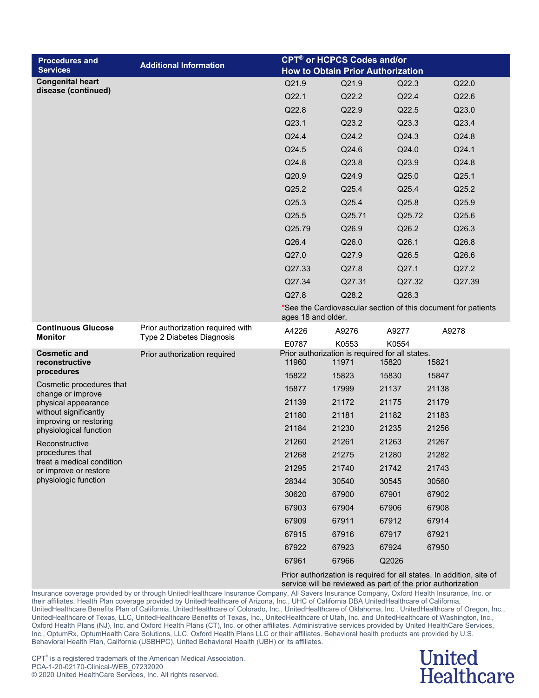| <b>Procedures and</b>                              | <b>Additional Information</b>     |                    | <b>CPT<sup>®</sup> or HCPCS Codes and/or</b> |                                                          |                                                               |
|----------------------------------------------------|-----------------------------------|--------------------|----------------------------------------------|----------------------------------------------------------|---------------------------------------------------------------|
| <b>Services</b>                                    |                                   |                    |                                              | <b>How to Obtain Prior Authorization</b>                 |                                                               |
| <b>Congenital heart</b><br>disease (continued)     |                                   | Q21.9              | Q21.9                                        | Q22.3                                                    | Q22.0                                                         |
|                                                    |                                   | Q22.1              | Q22.2                                        | Q22.4                                                    | Q22.6                                                         |
|                                                    |                                   | Q22.8              | Q22.9                                        | Q22.5                                                    | Q23.0                                                         |
|                                                    |                                   | Q23.1              | Q23.2                                        | Q23.3                                                    | Q23.4                                                         |
|                                                    |                                   | Q24.4              | Q24.2                                        | Q24.3                                                    | Q24.8                                                         |
|                                                    |                                   | Q24.5              | Q24.6                                        | Q24.0                                                    | Q24.1                                                         |
|                                                    |                                   | Q24.8              | Q23.8                                        | Q23.9                                                    | Q24.8                                                         |
|                                                    |                                   | Q20.9              | Q24.9                                        | Q25.0                                                    | Q25.1                                                         |
|                                                    |                                   | Q25.2              | Q25.4                                        | Q25.4                                                    | Q25.2                                                         |
|                                                    |                                   | Q25.3              | Q25.4                                        | Q25.8                                                    | Q25.9                                                         |
|                                                    |                                   | Q25.5              | Q25.71                                       | Q25.72                                                   | Q25.6                                                         |
|                                                    |                                   | Q25.79             | Q26.9                                        | Q26.2                                                    | Q26.3                                                         |
|                                                    |                                   | Q26.4              | Q26.0                                        | Q26.1                                                    | Q26.8                                                         |
|                                                    |                                   | Q27.0              | Q27.9                                        | Q26.5                                                    | Q26.6                                                         |
|                                                    |                                   | Q27.33             | Q27.8                                        | Q27.1                                                    | Q27.2                                                         |
|                                                    |                                   | Q27.34             | Q27.31                                       | Q27.32                                                   | Q27.39                                                        |
|                                                    |                                   | Q27.8              | Q28.2                                        | Q28.3                                                    |                                                               |
|                                                    |                                   | ages 18 and older, |                                              |                                                          | *See the Cardiovascular section of this document for patients |
| <b>Continuous Glucose</b>                          | Prior authorization required with | A4226              | A9276                                        | A9277                                                    | A9278                                                         |
| <b>Monitor</b>                                     | Type 2 Diabetes Diagnosis         | E0787              | K0553                                        | K0554                                                    |                                                               |
| <b>Cosmetic and</b><br>reconstructive              | Prior authorization required      | 11960              | 11971                                        | Prior authorization is required for all states.<br>15820 | 15821                                                         |
| procedures                                         |                                   | 15822              | 15823                                        | 15830                                                    | 15847                                                         |
| Cosmetic procedures that<br>change or improve      |                                   | 15877              | 17999                                        | 21137                                                    | 21138                                                         |
| physical appearance                                |                                   | 21139              | 21172                                        | 21175                                                    | 21179                                                         |
| without significantly                              |                                   | 21180              | 21181                                        | 21182                                                    | 21183                                                         |
| improving or restoring<br>physiological function   |                                   | 21184              | 21230                                        | 21235                                                    | 21256                                                         |
| Reconstructive                                     |                                   | 21260              | 21261                                        | 21263                                                    | 21267                                                         |
| procedures that                                    |                                   | 21268              | 21275                                        | 21280                                                    | 21282                                                         |
| treat a medical condition<br>or improve or restore |                                   | 21295              | 21740                                        | 21742                                                    | 21743                                                         |
| physiologic function                               |                                   | 28344              | 30540                                        | 30545                                                    | 30560                                                         |
|                                                    |                                   | 30620              | 67900                                        | 67901                                                    | 67902                                                         |
|                                                    |                                   | 67903              | 67904                                        | 67906                                                    | 67908                                                         |
|                                                    |                                   | 67909              | 67911                                        | 67912                                                    | 67914                                                         |
|                                                    |                                   | 67915              | 67916                                        | 67917                                                    | 67921                                                         |
|                                                    |                                   | 67922              | 67923                                        | 67924                                                    | 67950                                                         |
|                                                    |                                   | 67961              | 67966                                        | Q2026                                                    |                                                               |
|                                                    |                                   |                    |                                              |                                                          |                                                               |

Prior authorization is required for all states. In addition, site of service will be reviewed as part of the prior authorization

Insurance coverage provided by or through UnitedHealthcare Insurance Company, All Savers Insurance Company, Oxford Health Insurance, Inc. or their affiliates. Health Plan coverage provided by UnitedHealthcare of Arizona, Inc., UHC of California DBA UnitedHealthcare of California, UnitedHealthcare Benefits Plan of California, UnitedHealthcare of Colorado, Inc., UnitedHealthcare of Oklahoma, Inc., UnitedHealthcare of Oregon, Inc., UnitedHealthcare of Texas, LLC, UnitedHealthcare Benefits of Texas, Inc., UnitedHealthcare of Utah, Inc. and UnitedHealthcare of Washington, Inc., Oxford Health Plans (NJ), Inc. and Oxford Health Plans (CT), Inc. or other affiliates. Administrative services provided by United HealthCare Services, Inc., OptumRx, OptumHealth Care Solutions, LLC, Oxford Health Plans LLC or their affiliates. Behavioral health products are provided by U.S. Behavioral Health Plan, California (USBHPC), United Behavioral Health (UBH) or its affiliates.

#### **United Healthcare**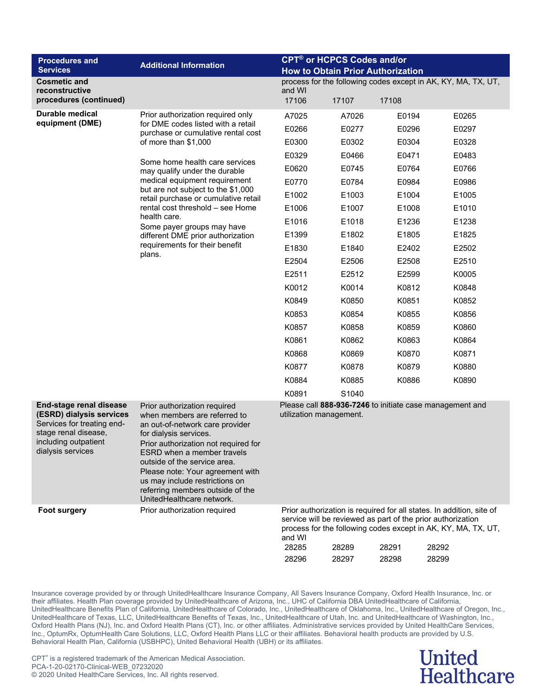| <b>Procedures and</b><br><b>Services</b>                                                                                                                      | <b>Additional Information</b>                                                                                                                                                                                                                                                                                                                                          | <b>CPT<sup>®</sup> or HCPCS Codes and/or</b><br><b>How to Obtain Prior Authorization</b> |                |                                                                               |                                                                                                                                                         |  |
|---------------------------------------------------------------------------------------------------------------------------------------------------------------|------------------------------------------------------------------------------------------------------------------------------------------------------------------------------------------------------------------------------------------------------------------------------------------------------------------------------------------------------------------------|------------------------------------------------------------------------------------------|----------------|-------------------------------------------------------------------------------|---------------------------------------------------------------------------------------------------------------------------------------------------------|--|
| <b>Cosmetic and</b>                                                                                                                                           |                                                                                                                                                                                                                                                                                                                                                                        |                                                                                          |                |                                                                               | process for the following codes except in AK, KY, MA, TX, UT,                                                                                           |  |
| reconstructive<br>procedures (continued)                                                                                                                      |                                                                                                                                                                                                                                                                                                                                                                        | and WI<br>17106                                                                          | 17107          | 17108                                                                         |                                                                                                                                                         |  |
| Durable medical                                                                                                                                               | Prior authorization required only                                                                                                                                                                                                                                                                                                                                      | A7025                                                                                    | A7026          | E0194                                                                         | E0265                                                                                                                                                   |  |
| equipment (DME)                                                                                                                                               | for DME codes listed with a retail<br>purchase or cumulative rental cost                                                                                                                                                                                                                                                                                               | E0266                                                                                    | E0277          | E0296                                                                         | E0297                                                                                                                                                   |  |
|                                                                                                                                                               | of more than \$1,000                                                                                                                                                                                                                                                                                                                                                   | E0300                                                                                    | E0302          | E0304                                                                         | E0328                                                                                                                                                   |  |
|                                                                                                                                                               | Some home health care services                                                                                                                                                                                                                                                                                                                                         | E0329                                                                                    | E0466          | E0471                                                                         | E0483                                                                                                                                                   |  |
|                                                                                                                                                               | may qualify under the durable                                                                                                                                                                                                                                                                                                                                          | E0620                                                                                    | E0745          | E0764                                                                         | E0766                                                                                                                                                   |  |
|                                                                                                                                                               | medical equipment requirement                                                                                                                                                                                                                                                                                                                                          | E0770                                                                                    | E0784          | E0984                                                                         | E0986                                                                                                                                                   |  |
|                                                                                                                                                               | but are not subject to the \$1,000<br>retail purchase or cumulative retail                                                                                                                                                                                                                                                                                             | E1002                                                                                    | E1003          | E1004                                                                         | E1005                                                                                                                                                   |  |
|                                                                                                                                                               | rental cost threshold - see Home                                                                                                                                                                                                                                                                                                                                       | E1006                                                                                    | E1007          | E1008                                                                         | E1010                                                                                                                                                   |  |
|                                                                                                                                                               | health care.<br>Some payer groups may have                                                                                                                                                                                                                                                                                                                             | E1016                                                                                    | E1018          | E1236                                                                         | E1238                                                                                                                                                   |  |
|                                                                                                                                                               | different DME prior authorization                                                                                                                                                                                                                                                                                                                                      | E1399                                                                                    | E1802          | E1805                                                                         | E1825                                                                                                                                                   |  |
|                                                                                                                                                               | requirements for their benefit                                                                                                                                                                                                                                                                                                                                         | E1830                                                                                    | E1840          | E2402                                                                         | E2502                                                                                                                                                   |  |
|                                                                                                                                                               | plans.                                                                                                                                                                                                                                                                                                                                                                 | E2504                                                                                    | E2506          | E2508                                                                         | E2510                                                                                                                                                   |  |
|                                                                                                                                                               |                                                                                                                                                                                                                                                                                                                                                                        | E2511                                                                                    | E2512          | E2599                                                                         | K0005                                                                                                                                                   |  |
|                                                                                                                                                               |                                                                                                                                                                                                                                                                                                                                                                        | K0012                                                                                    | K0014          | K0812                                                                         | K0848                                                                                                                                                   |  |
|                                                                                                                                                               |                                                                                                                                                                                                                                                                                                                                                                        | K0849                                                                                    | K0850          | K0851                                                                         | K0852                                                                                                                                                   |  |
|                                                                                                                                                               |                                                                                                                                                                                                                                                                                                                                                                        | K0853                                                                                    | K0854          | K0855                                                                         | K0856                                                                                                                                                   |  |
|                                                                                                                                                               |                                                                                                                                                                                                                                                                                                                                                                        | K0857                                                                                    | K0858          | K0859                                                                         | K0860                                                                                                                                                   |  |
|                                                                                                                                                               |                                                                                                                                                                                                                                                                                                                                                                        | K0861                                                                                    | K0862          | K0863                                                                         | K0864                                                                                                                                                   |  |
|                                                                                                                                                               |                                                                                                                                                                                                                                                                                                                                                                        | K0868                                                                                    | K0869          | K0870                                                                         | K0871                                                                                                                                                   |  |
|                                                                                                                                                               |                                                                                                                                                                                                                                                                                                                                                                        | K0877                                                                                    | K0878          | K0879                                                                         | K0880                                                                                                                                                   |  |
|                                                                                                                                                               |                                                                                                                                                                                                                                                                                                                                                                        | K0884                                                                                    | K0885          | K0886                                                                         | K0890                                                                                                                                                   |  |
|                                                                                                                                                               |                                                                                                                                                                                                                                                                                                                                                                        | K0891                                                                                    | S1040          |                                                                               |                                                                                                                                                         |  |
| <b>End-stage renal disease</b><br>(ESRD) dialysis services<br>Services for treating end-<br>stage renal disease,<br>including outpatient<br>dialysis services | Prior authorization required<br>when members are referred to<br>an out-of-network care provider<br>for dialysis services.<br>Prior authorization not required for<br>ESRD when a member travels<br>outside of the service area.<br>Please note: Your agreement with<br>us may include restrictions on<br>referring members outside of the<br>UnitedHealthcare network. | utilization management.                                                                  |                | Please call 888-936-7246 to initiate case management and                      |                                                                                                                                                         |  |
| <b>Foot surgery</b>                                                                                                                                           | Prior authorization required                                                                                                                                                                                                                                                                                                                                           | and WI<br>28285<br>28296                                                                 | 28289<br>28297 | service will be reviewed as part of the prior authorization<br>28291<br>28298 | Prior authorization is required for all states. In addition, site of<br>process for the following codes except in AK, KY, MA, TX, UT,<br>28292<br>28299 |  |

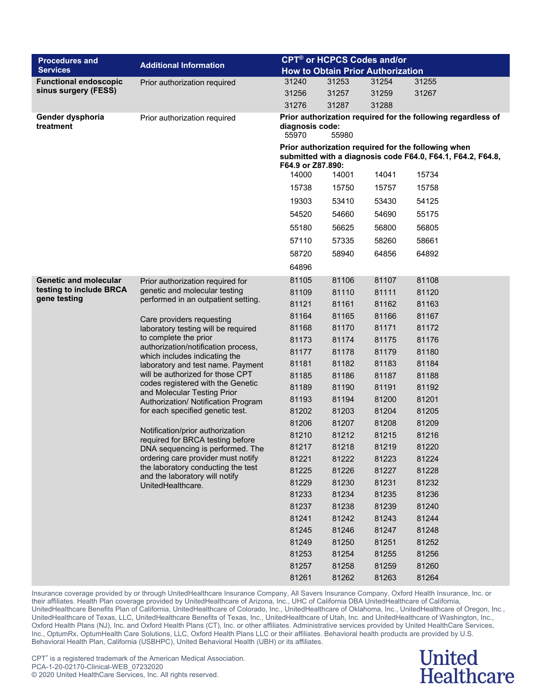| <b>Procedures and</b>         |                                                                                                                                                                                                        |                                                                                                                                         | <b>CPT<sup>®</sup> or HCPCS Codes and/or</b> |       |                                                              |  |  |
|-------------------------------|--------------------------------------------------------------------------------------------------------------------------------------------------------------------------------------------------------|-----------------------------------------------------------------------------------------------------------------------------------------|----------------------------------------------|-------|--------------------------------------------------------------|--|--|
| <b>Services</b>               | <b>Additional Information</b>                                                                                                                                                                          |                                                                                                                                         | <b>How to Obtain Prior Authorization</b>     |       |                                                              |  |  |
| <b>Functional endoscopic</b>  | Prior authorization required                                                                                                                                                                           | 31240                                                                                                                                   | 31253                                        | 31254 | 31255                                                        |  |  |
| sinus surgery (FESS)          |                                                                                                                                                                                                        | 31256                                                                                                                                   | 31257                                        | 31259 | 31267                                                        |  |  |
|                               |                                                                                                                                                                                                        | 31276                                                                                                                                   | 31287                                        | 31288 |                                                              |  |  |
| Gender dysphoria<br>treatment | Prior authorization required                                                                                                                                                                           | diagnosis code:<br>55970                                                                                                                | 55980                                        |       | Prior authorization required for the following regardless of |  |  |
|                               |                                                                                                                                                                                                        | Prior authorization required for the following when<br>submitted with a diagnosis code F64.0, F64.1, F64.2, F64.8,<br>F64.9 or Z87.890: |                                              |       |                                                              |  |  |
|                               |                                                                                                                                                                                                        | 14000                                                                                                                                   | 14001                                        | 14041 | 15734                                                        |  |  |
|                               |                                                                                                                                                                                                        | 15738                                                                                                                                   | 15750                                        | 15757 | 15758                                                        |  |  |
|                               |                                                                                                                                                                                                        | 19303                                                                                                                                   | 53410                                        | 53430 | 54125                                                        |  |  |
|                               |                                                                                                                                                                                                        | 54520                                                                                                                                   | 54660                                        | 54690 | 55175                                                        |  |  |
|                               |                                                                                                                                                                                                        | 55180                                                                                                                                   | 56625                                        | 56800 | 56805                                                        |  |  |
|                               |                                                                                                                                                                                                        | 57110                                                                                                                                   | 57335                                        | 58260 | 58661                                                        |  |  |
|                               |                                                                                                                                                                                                        | 58720                                                                                                                                   | 58940                                        | 64856 | 64892                                                        |  |  |
|                               |                                                                                                                                                                                                        | 64896                                                                                                                                   |                                              |       |                                                              |  |  |
| <b>Genetic and molecular</b>  |                                                                                                                                                                                                        | 81105                                                                                                                                   | 81106                                        | 81107 | 81108                                                        |  |  |
| testing to include BRCA       | Prior authorization required for<br>genetic and molecular testing<br>performed in an outpatient setting.                                                                                               | 81109                                                                                                                                   | 81110                                        | 81111 | 81120                                                        |  |  |
| gene testing                  |                                                                                                                                                                                                        | 81121                                                                                                                                   | 81161                                        | 81162 | 81163                                                        |  |  |
|                               |                                                                                                                                                                                                        | 81164                                                                                                                                   | 81165                                        | 81166 | 81167                                                        |  |  |
|                               | Care providers requesting<br>laboratory testing will be required<br>to complete the prior<br>authorization/notification process,<br>which includes indicating the<br>laboratory and test name. Payment | 81168                                                                                                                                   | 81170                                        | 81171 | 81172                                                        |  |  |
|                               |                                                                                                                                                                                                        | 81173                                                                                                                                   | 81174                                        | 81175 | 81176                                                        |  |  |
|                               |                                                                                                                                                                                                        | 81177                                                                                                                                   | 81178                                        | 81179 | 81180                                                        |  |  |
|                               |                                                                                                                                                                                                        | 81181                                                                                                                                   | 81182                                        | 81183 | 81184                                                        |  |  |
|                               | will be authorized for those CPT                                                                                                                                                                       | 81185                                                                                                                                   | 81186                                        | 81187 | 81188                                                        |  |  |
|                               | codes registered with the Genetic                                                                                                                                                                      | 81189                                                                                                                                   | 81190                                        | 81191 | 81192                                                        |  |  |
|                               | and Molecular Testing Prior<br>Authorization/ Notification Program                                                                                                                                     | 81193                                                                                                                                   | 81194                                        | 81200 | 81201                                                        |  |  |
|                               | for each specified genetic test.                                                                                                                                                                       | 81202                                                                                                                                   | 81203                                        | 81204 | 81205                                                        |  |  |
|                               |                                                                                                                                                                                                        | 81206                                                                                                                                   | 81207                                        | 81208 | 81209                                                        |  |  |
|                               | Notification/prior authorization<br>required for BRCA testing before                                                                                                                                   | 81210                                                                                                                                   | 81212                                        | 81215 | 81216                                                        |  |  |
|                               | DNA sequencing is performed. The                                                                                                                                                                       | 81217                                                                                                                                   | 81218                                        | 81219 | 81220                                                        |  |  |
|                               | ordering care provider must notify                                                                                                                                                                     | 81221                                                                                                                                   | 81222                                        | 81223 | 81224                                                        |  |  |
|                               | the laboratory conducting the test<br>and the laboratory will notify                                                                                                                                   | 81225                                                                                                                                   | 81226                                        | 81227 | 81228                                                        |  |  |
|                               | UnitedHealthcare.                                                                                                                                                                                      | 81229                                                                                                                                   | 81230                                        | 81231 | 81232                                                        |  |  |
|                               |                                                                                                                                                                                                        | 81233                                                                                                                                   | 81234                                        | 81235 | 81236                                                        |  |  |
|                               |                                                                                                                                                                                                        | 81237                                                                                                                                   | 81238                                        | 81239 | 81240                                                        |  |  |
|                               |                                                                                                                                                                                                        | 81241                                                                                                                                   | 81242                                        | 81243 | 81244                                                        |  |  |
|                               |                                                                                                                                                                                                        | 81245                                                                                                                                   | 81246                                        | 81247 | 81248                                                        |  |  |
|                               |                                                                                                                                                                                                        | 81249                                                                                                                                   | 81250                                        | 81251 | 81252                                                        |  |  |
|                               |                                                                                                                                                                                                        | 81253                                                                                                                                   | 81254                                        | 81255 | 81256                                                        |  |  |
|                               |                                                                                                                                                                                                        | 81257                                                                                                                                   | 81258                                        | 81259 | 81260                                                        |  |  |
|                               |                                                                                                                                                                                                        | 81261                                                                                                                                   | 81262                                        | 81263 | 81264                                                        |  |  |

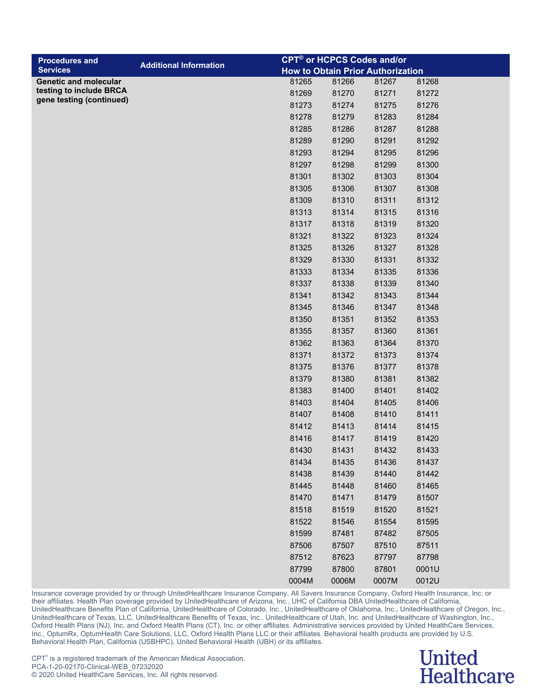| <b>Procedures and</b>                               |                               |       | <b>CPT<sup>®</sup> or HCPCS Codes and/or</b> |       |       |
|-----------------------------------------------------|-------------------------------|-------|----------------------------------------------|-------|-------|
| <b>Services</b>                                     | <b>Additional Information</b> |       | <b>How to Obtain Prior Authorization</b>     |       |       |
| <b>Genetic and molecular</b>                        |                               | 81265 | 81266                                        | 81267 | 81268 |
| testing to include BRCA<br>gene testing (continued) |                               | 81269 | 81270                                        | 81271 | 81272 |
|                                                     |                               | 81273 | 81274                                        | 81275 | 81276 |
|                                                     |                               | 81278 | 81279                                        | 81283 | 81284 |
|                                                     |                               | 81285 | 81286                                        | 81287 | 81288 |
|                                                     |                               | 81289 | 81290                                        | 81291 | 81292 |
|                                                     |                               | 81293 | 81294                                        | 81295 | 81296 |
|                                                     |                               | 81297 | 81298                                        | 81299 | 81300 |
|                                                     |                               | 81301 | 81302                                        | 81303 | 81304 |
|                                                     |                               | 81305 | 81306                                        | 81307 | 81308 |
|                                                     |                               | 81309 | 81310                                        | 81311 | 81312 |
|                                                     |                               | 81313 | 81314                                        | 81315 | 81316 |
|                                                     |                               | 81317 | 81318                                        | 81319 | 81320 |
|                                                     |                               | 81321 | 81322                                        | 81323 | 81324 |
|                                                     |                               | 81325 | 81326                                        | 81327 | 81328 |
|                                                     |                               | 81329 | 81330                                        | 81331 | 81332 |
|                                                     |                               | 81333 | 81334                                        | 81335 | 81336 |
|                                                     |                               | 81337 | 81338                                        | 81339 | 81340 |
|                                                     |                               | 81341 | 81342                                        | 81343 | 81344 |
|                                                     |                               | 81345 | 81346                                        | 81347 | 81348 |
|                                                     |                               | 81350 | 81351                                        | 81352 | 81353 |
|                                                     |                               | 81355 | 81357                                        | 81360 | 81361 |
|                                                     |                               | 81362 | 81363                                        | 81364 | 81370 |
|                                                     |                               | 81371 | 81372                                        | 81373 | 81374 |
|                                                     |                               | 81375 | 81376                                        | 81377 | 81378 |
|                                                     |                               | 81379 | 81380                                        | 81381 | 81382 |
|                                                     |                               | 81383 | 81400                                        | 81401 | 81402 |
|                                                     |                               | 81403 | 81404                                        | 81405 | 81406 |
|                                                     |                               | 81407 | 81408                                        | 81410 | 81411 |
|                                                     |                               | 81412 | 81413                                        | 81414 | 81415 |
|                                                     |                               | 81416 | 81417                                        | 81419 | 81420 |
|                                                     |                               | 81430 | 81431                                        | 81432 | 81433 |
|                                                     |                               | 81434 | 81435                                        | 81436 | 81437 |
|                                                     |                               | 81438 | 81439                                        | 81440 | 81442 |
|                                                     |                               | 81445 | 81448                                        | 81460 | 81465 |
|                                                     |                               | 81470 | 81471                                        | 81479 | 81507 |
|                                                     |                               | 81518 | 81519                                        | 81520 | 81521 |
|                                                     |                               | 81522 | 81546                                        | 81554 | 81595 |
|                                                     |                               | 81599 | 87481                                        | 87482 | 87505 |
|                                                     |                               | 87506 | 87507                                        | 87510 | 87511 |
|                                                     |                               | 87512 | 87623                                        | 87797 | 87798 |
|                                                     |                               | 87799 | 87800                                        | 87801 | 0001U |
|                                                     |                               | 0004M | 0006M                                        | 0007M | 0012U |

#### **United Healthcare**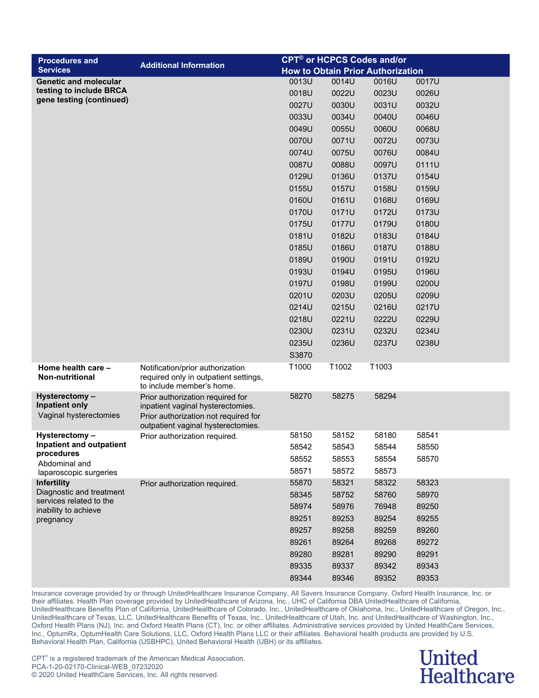| <b>Procedures and</b>                                             |                                                                                                                                                     |       |       | <b>CPT<sup>®</sup> or HCPCS Codes and/or</b> |       |
|-------------------------------------------------------------------|-----------------------------------------------------------------------------------------------------------------------------------------------------|-------|-------|----------------------------------------------|-------|
| <b>Services</b>                                                   | <b>Additional Information</b>                                                                                                                       |       |       | <b>How to Obtain Prior Authorization</b>     |       |
| <b>Genetic and molecular</b>                                      |                                                                                                                                                     | 0013U | 0014U | 0016U                                        | 0017U |
| testing to include BRCA                                           |                                                                                                                                                     | 0018U | 0022U | 0023U                                        | 0026U |
| gene testing (continued)                                          |                                                                                                                                                     | 0027U | 0030U | 0031U                                        | 0032U |
|                                                                   |                                                                                                                                                     | 0033U | 0034U | 0040U                                        | 0046U |
|                                                                   |                                                                                                                                                     | 0049U | 0055U | 0060U                                        | 0068U |
|                                                                   |                                                                                                                                                     | 0070U | 0071U | 0072U                                        | 0073U |
|                                                                   |                                                                                                                                                     | 0074U | 0075U | 0076U                                        | 0084U |
|                                                                   |                                                                                                                                                     | 0087U | 0088U | 0097U                                        | 0111U |
|                                                                   |                                                                                                                                                     | 0129U | 0136U | 0137U                                        | 0154U |
|                                                                   |                                                                                                                                                     | 0155U | 0157U | 0158U                                        | 0159U |
|                                                                   |                                                                                                                                                     | 0160U | 0161U | 0168U                                        | 0169U |
|                                                                   |                                                                                                                                                     | 0170U | 0171U | 0172U                                        | 0173U |
|                                                                   |                                                                                                                                                     | 0175U | 0177U | 0179U                                        | 0180U |
|                                                                   |                                                                                                                                                     | 0181U | 0182U | 0183U                                        | 0184U |
|                                                                   |                                                                                                                                                     | 0185U | 0186U | 0187U                                        | 0188U |
|                                                                   |                                                                                                                                                     | 0189U | 0190U | 0191U                                        | 0192U |
|                                                                   |                                                                                                                                                     | 0193U | 0194U | 0195U                                        | 0196U |
|                                                                   |                                                                                                                                                     | 0197U | 0198U | 0199U                                        | 0200U |
|                                                                   |                                                                                                                                                     | 0201U | 0203U | 0205U                                        | 0209U |
|                                                                   |                                                                                                                                                     | 0214U | 0215U | 0216U                                        | 0217U |
|                                                                   |                                                                                                                                                     | 0218U | 0221U | 0222U                                        | 0229U |
|                                                                   |                                                                                                                                                     | 0230U | 0231U | 0232U                                        | 0234U |
|                                                                   |                                                                                                                                                     | 0235U | 0236U | 0237U                                        | 0238U |
|                                                                   |                                                                                                                                                     | S3870 |       |                                              |       |
| Home health care -<br>Non-nutritional                             | Notification/prior authorization<br>required only in outpatient settings,<br>to include member's home.                                              | T1000 | T1002 | T1003                                        |       |
| Hysterectomy -<br><b>Inpatient only</b><br>Vaginal hysterectomies | Prior authorization required for<br>inpatient vaginal hysterectomies.<br>Prior authorization not required for<br>outpatient vaginal hysterectomies. | 58270 | 58275 | 58294                                        |       |
| Hysterectomy-                                                     | Prior authorization required.                                                                                                                       | 58150 | 58152 | 58180                                        | 58541 |
| Inpatient and outpatient                                          |                                                                                                                                                     | 58542 | 58543 | 58544                                        | 58550 |
| procedures<br>Abdominal and                                       |                                                                                                                                                     | 58552 | 58553 | 58554                                        | 58570 |
| laparoscopic surgeries                                            |                                                                                                                                                     | 58571 | 58572 | 58573                                        |       |
| <b>Infertility</b>                                                | Prior authorization required.                                                                                                                       | 55870 | 58321 | 58322                                        | 58323 |
| Diagnostic and treatment<br>services related to the               |                                                                                                                                                     | 58345 | 58752 | 58760                                        | 58970 |
| inability to achieve                                              |                                                                                                                                                     | 58974 | 58976 | 76948                                        | 89250 |
| pregnancy                                                         |                                                                                                                                                     | 89251 | 89253 | 89254                                        | 89255 |
|                                                                   |                                                                                                                                                     | 89257 | 89258 | 89259                                        | 89260 |
|                                                                   |                                                                                                                                                     | 89261 | 89264 | 89268                                        | 89272 |
|                                                                   |                                                                                                                                                     | 89280 | 89281 | 89290                                        | 89291 |
|                                                                   |                                                                                                                                                     | 89335 | 89337 | 89342                                        | 89343 |
|                                                                   |                                                                                                                                                     | 89344 | 89346 | 89352                                        | 89353 |

### **United Healthcare**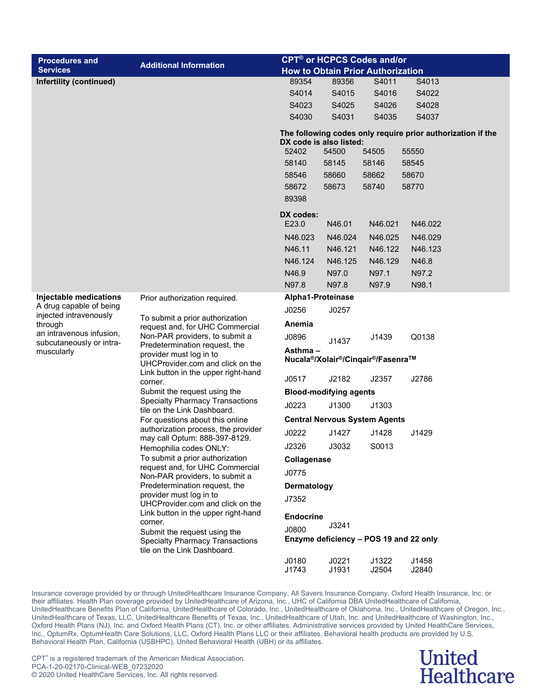| <b>Procedures and</b>             |                                                                                                                                               |                                              | <b>CPT<sup>®</sup> or HCPCS Codes and/or</b> |         |                                                             |  |  |
|-----------------------------------|-----------------------------------------------------------------------------------------------------------------------------------------------|----------------------------------------------|----------------------------------------------|---------|-------------------------------------------------------------|--|--|
| <b>Services</b>                   | <b>Additional Information</b>                                                                                                                 |                                              | <b>How to Obtain Prior Authorization</b>     |         |                                                             |  |  |
| Infertility (continued)           |                                                                                                                                               | 89354                                        | 89356                                        | S4011   | S4013                                                       |  |  |
|                                   |                                                                                                                                               | S4014                                        | S4015                                        | S4016   | S4022                                                       |  |  |
|                                   |                                                                                                                                               | S4023                                        | S4025                                        | S4026   | S4028                                                       |  |  |
|                                   |                                                                                                                                               | S4030                                        | S4031                                        | S4035   | S4037                                                       |  |  |
|                                   |                                                                                                                                               |                                              | DX code is also listed:                      |         | The following codes only require prior authorization if the |  |  |
|                                   |                                                                                                                                               | 52402                                        | 54500                                        | 54505   | 55550                                                       |  |  |
|                                   |                                                                                                                                               | 58140                                        | 58145                                        | 58146   | 58545                                                       |  |  |
|                                   |                                                                                                                                               | 58546                                        | 58660                                        | 58662   | 58670                                                       |  |  |
|                                   |                                                                                                                                               | 58672                                        | 58673                                        | 58740   | 58770                                                       |  |  |
|                                   |                                                                                                                                               | 89398                                        |                                              |         |                                                             |  |  |
|                                   |                                                                                                                                               | DX codes:<br>E23.0                           | N46.01                                       | N46.021 | N46.022                                                     |  |  |
|                                   |                                                                                                                                               | N46.023                                      | N46.024                                      | N46.025 | N46.029                                                     |  |  |
|                                   |                                                                                                                                               | N46.11                                       | N46.121                                      | N46.122 | N46.123                                                     |  |  |
|                                   |                                                                                                                                               | N46.124                                      | N46.125                                      | N46.129 | N46.8                                                       |  |  |
|                                   |                                                                                                                                               | N46.9                                        | N97.0                                        | N97.1   | N97.2                                                       |  |  |
|                                   |                                                                                                                                               | N97.8                                        | N97.8                                        | N97.9   | N98.1                                                       |  |  |
| Injectable medications            | Prior authorization required.                                                                                                                 |                                              | Alpha1-Proteinase                            |         |                                                             |  |  |
| A drug capable of being           | To submit a prior authorization                                                                                                               | J0256                                        | J0257                                        |         |                                                             |  |  |
| injected intravenously<br>through |                                                                                                                                               | Anemia                                       |                                              |         |                                                             |  |  |
| an intravenous infusion,          | request and, for UHC Commercial<br>Non-PAR providers, to submit a                                                                             | J0896                                        |                                              | J1439   | Q0138                                                       |  |  |
| subcutaneously or intra-          | Predetermination request, the                                                                                                                 |                                              | J1437                                        |         |                                                             |  |  |
| muscularly                        | provider must log in to<br>UHCProvider.com and click on the                                                                                   | Asthma-<br>Nucala®/Xolair®/Cinqair®/Fasenra™ |                                              |         |                                                             |  |  |
|                                   | Link button in the upper right-hand<br>corner.                                                                                                | J0517                                        | J2182                                        | J2357   | J2786                                                       |  |  |
|                                   | Submit the request using the                                                                                                                  | <b>Blood-modifying agents</b>                |                                              |         |                                                             |  |  |
|                                   | <b>Specialty Pharmacy Transactions</b><br>tile on the Link Dashboard.                                                                         | J0223                                        | J1300                                        | J1303   |                                                             |  |  |
|                                   | For questions about this online                                                                                                               |                                              | <b>Central Nervous System Agents</b>         |         |                                                             |  |  |
|                                   | authorization process, the provider<br>may call Optum: 888-397-8129.                                                                          | J0222                                        | J1427                                        | J1428   | J1429                                                       |  |  |
|                                   | Hemophilia codes ONLY:                                                                                                                        | J2326                                        | J3032                                        | S0013   |                                                             |  |  |
|                                   | To submit a prior authorization                                                                                                               | Collagenase                                  |                                              |         |                                                             |  |  |
|                                   | request and, for UHC Commercial<br>Non-PAR providers, to submit a                                                                             | J0775                                        |                                              |         |                                                             |  |  |
|                                   | Predetermination request, the                                                                                                                 | <b>Dermatology</b>                           |                                              |         |                                                             |  |  |
|                                   | provider must log in to<br>UHCProvider.com and click on the<br>Link button in the upper right-hand<br>corner.<br>Submit the request using the | J7352                                        |                                              |         |                                                             |  |  |
|                                   |                                                                                                                                               | <b>Endocrine</b>                             |                                              |         |                                                             |  |  |
|                                   |                                                                                                                                               | J0800                                        | J3241                                        |         |                                                             |  |  |
|                                   | <b>Specialty Pharmacy Transactions</b><br>tile on the Link Dashboard.                                                                         |                                              | Enzyme deficiency - POS 19 and 22 only       |         |                                                             |  |  |
|                                   |                                                                                                                                               | J0180                                        | J0221                                        | J1322   | J1458                                                       |  |  |

J1743 J1931 J2504 J2840

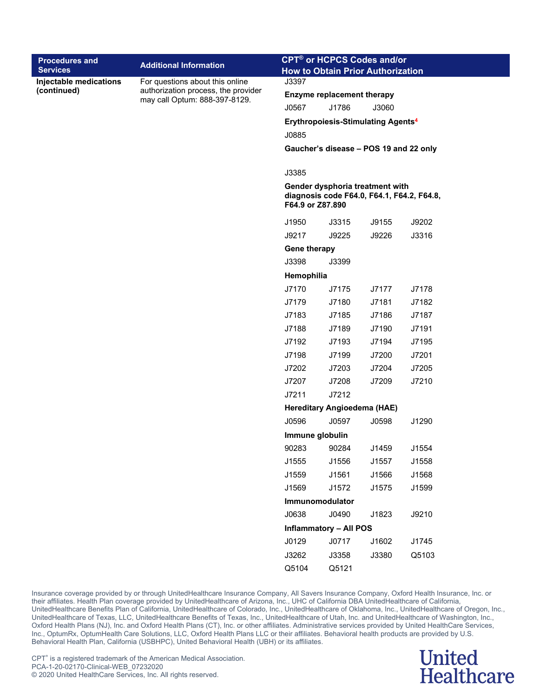| <b>Procedures and</b><br><b>Services</b> | <b>Additional Information</b>                                        | <b>CPT<sup>®</sup> or HCPCS Codes and/or</b><br><b>How to Obtain Prior Authorization</b>          |                                           |       |       |  |  |
|------------------------------------------|----------------------------------------------------------------------|---------------------------------------------------------------------------------------------------|-------------------------------------------|-------|-------|--|--|
| Injectable medications                   | For questions about this online                                      | J3397                                                                                             |                                           |       |       |  |  |
| (continued)                              | authorization process, the provider<br>may call Optum: 888-397-8129. | <b>Enzyme replacement therapy</b>                                                                 |                                           |       |       |  |  |
|                                          |                                                                      | J0567                                                                                             | J1786                                     | J3060 |       |  |  |
|                                          |                                                                      |                                                                                                   | <b>Erythropoiesis-Stimulating Agents4</b> |       |       |  |  |
|                                          |                                                                      | J0885                                                                                             |                                           |       |       |  |  |
|                                          |                                                                      |                                                                                                   | Gaucher's disease - POS 19 and 22 only    |       |       |  |  |
|                                          |                                                                      | J3385                                                                                             |                                           |       |       |  |  |
|                                          |                                                                      | Gender dysphoria treatment with<br>diagnosis code F64.0, F64.1, F64.2, F64.8,<br>F64.9 or Z87.890 |                                           |       |       |  |  |
|                                          |                                                                      | J1950                                                                                             | J3315                                     | J9155 | J9202 |  |  |
|                                          |                                                                      | J9217                                                                                             | J9225                                     | J9226 | J3316 |  |  |
|                                          |                                                                      | Gene therapy                                                                                      |                                           |       |       |  |  |
|                                          |                                                                      | J3398                                                                                             | J3399                                     |       |       |  |  |
|                                          |                                                                      | Hemophilia                                                                                        |                                           |       |       |  |  |
|                                          |                                                                      | J7170                                                                                             | J7175                                     | J7177 | J7178 |  |  |
|                                          |                                                                      | J7179                                                                                             | J7180                                     | J7181 | J7182 |  |  |
|                                          |                                                                      | J7183                                                                                             | J7185                                     | J7186 | J7187 |  |  |
|                                          |                                                                      | J7188                                                                                             | J7189                                     | J7190 | J7191 |  |  |
|                                          |                                                                      | J7192                                                                                             | J7193                                     | J7194 | J7195 |  |  |
|                                          |                                                                      | J7198                                                                                             | J7199                                     | J7200 | J7201 |  |  |
|                                          |                                                                      | J7202                                                                                             | J7203                                     | J7204 | J7205 |  |  |
|                                          |                                                                      | J7207                                                                                             | J7208                                     | J7209 | J7210 |  |  |
|                                          |                                                                      | J7211                                                                                             | J7212                                     |       |       |  |  |
|                                          |                                                                      |                                                                                                   | Hereditary Angioedema (HAE)               |       |       |  |  |
|                                          |                                                                      | J0596                                                                                             | J0597                                     | J0598 | J1290 |  |  |
|                                          |                                                                      | Immune globulin                                                                                   |                                           |       |       |  |  |
|                                          |                                                                      | 90283 90284                                                                                       |                                           | J1459 | J1554 |  |  |
|                                          |                                                                      | J1555                                                                                             | J1556                                     | J1557 | J1558 |  |  |
|                                          |                                                                      | J1559                                                                                             | J1561                                     | J1566 | J1568 |  |  |
|                                          |                                                                      | J1569                                                                                             | J1572                                     | J1575 | J1599 |  |  |
|                                          |                                                                      | Immunomodulator                                                                                   |                                           |       |       |  |  |
|                                          |                                                                      | J0638                                                                                             | J0490                                     | J1823 | J9210 |  |  |
|                                          |                                                                      | <b>Inflammatory - All POS</b>                                                                     |                                           |       |       |  |  |
|                                          |                                                                      | J0129                                                                                             | J0717                                     | J1602 | J1745 |  |  |
|                                          |                                                                      | J3262                                                                                             | J3358                                     | J3380 | Q5103 |  |  |
|                                          |                                                                      | Q5104                                                                                             | Q5121                                     |       |       |  |  |

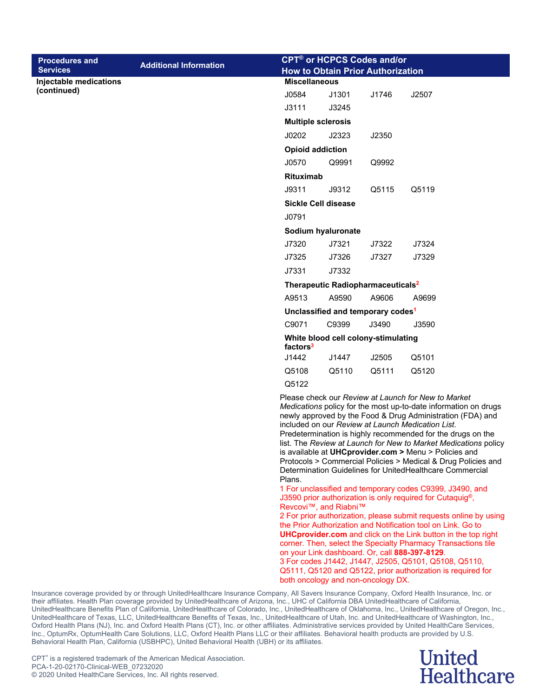|                                          | <b>CPT<sup>®</sup> or HCPCS Codes and/or</b> |                                                                                                                                                                                                                                                                                                                                                                                                                                                                                                                                                                                                                                                                                                                                                                                                                                                                                                  |                                                                  |       |                                                                                                                                                                          |  |  |  |
|------------------------------------------|----------------------------------------------|--------------------------------------------------------------------------------------------------------------------------------------------------------------------------------------------------------------------------------------------------------------------------------------------------------------------------------------------------------------------------------------------------------------------------------------------------------------------------------------------------------------------------------------------------------------------------------------------------------------------------------------------------------------------------------------------------------------------------------------------------------------------------------------------------------------------------------------------------------------------------------------------------|------------------------------------------------------------------|-------|--------------------------------------------------------------------------------------------------------------------------------------------------------------------------|--|--|--|
| <b>Procedures and</b><br><b>Services</b> | <b>Additional Information</b>                |                                                                                                                                                                                                                                                                                                                                                                                                                                                                                                                                                                                                                                                                                                                                                                                                                                                                                                  |                                                                  |       |                                                                                                                                                                          |  |  |  |
| Injectable medications                   |                                              |                                                                                                                                                                                                                                                                                                                                                                                                                                                                                                                                                                                                                                                                                                                                                                                                                                                                                                  | <b>How to Obtain Prior Authorization</b><br><b>Miscellaneous</b> |       |                                                                                                                                                                          |  |  |  |
| (continued)                              |                                              | J0584                                                                                                                                                                                                                                                                                                                                                                                                                                                                                                                                                                                                                                                                                                                                                                                                                                                                                            | J1301                                                            | J1746 | J2507                                                                                                                                                                    |  |  |  |
|                                          |                                              | J3111                                                                                                                                                                                                                                                                                                                                                                                                                                                                                                                                                                                                                                                                                                                                                                                                                                                                                            | J3245                                                            |       |                                                                                                                                                                          |  |  |  |
|                                          |                                              | <b>Multiple sclerosis</b>                                                                                                                                                                                                                                                                                                                                                                                                                                                                                                                                                                                                                                                                                                                                                                                                                                                                        |                                                                  |       |                                                                                                                                                                          |  |  |  |
|                                          |                                              | J0202                                                                                                                                                                                                                                                                                                                                                                                                                                                                                                                                                                                                                                                                                                                                                                                                                                                                                            | J2323                                                            | J2350 |                                                                                                                                                                          |  |  |  |
|                                          |                                              | <b>Opioid addiction</b>                                                                                                                                                                                                                                                                                                                                                                                                                                                                                                                                                                                                                                                                                                                                                                                                                                                                          |                                                                  |       |                                                                                                                                                                          |  |  |  |
|                                          |                                              | J0570                                                                                                                                                                                                                                                                                                                                                                                                                                                                                                                                                                                                                                                                                                                                                                                                                                                                                            | Q9991                                                            | Q9992 |                                                                                                                                                                          |  |  |  |
|                                          |                                              | <b>Rituximab</b>                                                                                                                                                                                                                                                                                                                                                                                                                                                                                                                                                                                                                                                                                                                                                                                                                                                                                 |                                                                  |       |                                                                                                                                                                          |  |  |  |
|                                          |                                              | J9311                                                                                                                                                                                                                                                                                                                                                                                                                                                                                                                                                                                                                                                                                                                                                                                                                                                                                            | J9312                                                            | Q5115 | Q5119                                                                                                                                                                    |  |  |  |
|                                          |                                              |                                                                                                                                                                                                                                                                                                                                                                                                                                                                                                                                                                                                                                                                                                                                                                                                                                                                                                  | Sickle Cell disease                                              |       |                                                                                                                                                                          |  |  |  |
|                                          |                                              | J0791                                                                                                                                                                                                                                                                                                                                                                                                                                                                                                                                                                                                                                                                                                                                                                                                                                                                                            |                                                                  |       |                                                                                                                                                                          |  |  |  |
|                                          |                                              |                                                                                                                                                                                                                                                                                                                                                                                                                                                                                                                                                                                                                                                                                                                                                                                                                                                                                                  | Sodium hyaluronate                                               |       |                                                                                                                                                                          |  |  |  |
|                                          |                                              | J7320                                                                                                                                                                                                                                                                                                                                                                                                                                                                                                                                                                                                                                                                                                                                                                                                                                                                                            | J7321                                                            | J7322 | J7324                                                                                                                                                                    |  |  |  |
|                                          |                                              | J7325                                                                                                                                                                                                                                                                                                                                                                                                                                                                                                                                                                                                                                                                                                                                                                                                                                                                                            | J7326                                                            | J7327 | J7329                                                                                                                                                                    |  |  |  |
|                                          |                                              | J7331                                                                                                                                                                                                                                                                                                                                                                                                                                                                                                                                                                                                                                                                                                                                                                                                                                                                                            | J7332                                                            |       |                                                                                                                                                                          |  |  |  |
|                                          |                                              |                                                                                                                                                                                                                                                                                                                                                                                                                                                                                                                                                                                                                                                                                                                                                                                                                                                                                                  | Therapeutic Radiopharmaceuticals <sup>2</sup>                    |       |                                                                                                                                                                          |  |  |  |
|                                          |                                              | A9513                                                                                                                                                                                                                                                                                                                                                                                                                                                                                                                                                                                                                                                                                                                                                                                                                                                                                            | A9590                                                            | A9606 | A9699                                                                                                                                                                    |  |  |  |
|                                          |                                              |                                                                                                                                                                                                                                                                                                                                                                                                                                                                                                                                                                                                                                                                                                                                                                                                                                                                                                  | Unclassified and temporary codes <sup>1</sup>                    |       |                                                                                                                                                                          |  |  |  |
|                                          |                                              | C9071                                                                                                                                                                                                                                                                                                                                                                                                                                                                                                                                                                                                                                                                                                                                                                                                                                                                                            | C9399                                                            | J3490 | J3590                                                                                                                                                                    |  |  |  |
|                                          |                                              | factors <sup>3</sup>                                                                                                                                                                                                                                                                                                                                                                                                                                                                                                                                                                                                                                                                                                                                                                                                                                                                             | White blood cell colony-stimulating                              |       |                                                                                                                                                                          |  |  |  |
|                                          |                                              | J1442                                                                                                                                                                                                                                                                                                                                                                                                                                                                                                                                                                                                                                                                                                                                                                                                                                                                                            | J1447                                                            | J2505 | Q5101                                                                                                                                                                    |  |  |  |
|                                          |                                              | Q5108                                                                                                                                                                                                                                                                                                                                                                                                                                                                                                                                                                                                                                                                                                                                                                                                                                                                                            | Q5110                                                            | Q5111 | Q5120                                                                                                                                                                    |  |  |  |
|                                          |                                              | Q5122                                                                                                                                                                                                                                                                                                                                                                                                                                                                                                                                                                                                                                                                                                                                                                                                                                                                                            |                                                                  |       | Please check our Review at Launch for New to Market                                                                                                                      |  |  |  |
|                                          |                                              | Medications policy for the most up-to-date information on drugs<br>newly approved by the Food & Drug Administration (FDA) and<br>included on our Review at Launch Medication List.<br>Predetermination is highly recommended for the drugs on the<br>list. The Review at Launch for New to Market Medications policy<br>is available at UHCprovider.com > Menu > Policies and<br>Protocols > Commercial Policies > Medical & Drug Policies and<br>Determination Guidelines for UnitedHealthcare Commercial<br>Plans.<br>1 For unclassified and temporary codes C9399, J3490, and<br>J3590 prior authorization is only required for Cutaquig <sup>®</sup> ,<br>Revcovi™, and Riabni™<br>2 For prior authorization, please submit requests online by using<br>the Prior Authorization and Notification tool on Link. Go to<br><b>UHCprovider.com</b> and click on the Link button in the top right |                                                                  |       |                                                                                                                                                                          |  |  |  |
|                                          |                                              |                                                                                                                                                                                                                                                                                                                                                                                                                                                                                                                                                                                                                                                                                                                                                                                                                                                                                                  |                                                                  |       | corner. Then, select the Specialty Pharmacy Transactions tile<br>on your Link dashboard. Or, call 888-397-8129.<br>3 For codes J1442, J1447, J2505, Q5101, Q5108, Q5110, |  |  |  |



Q5111, Q5120 and Q5122, prior authorization is required for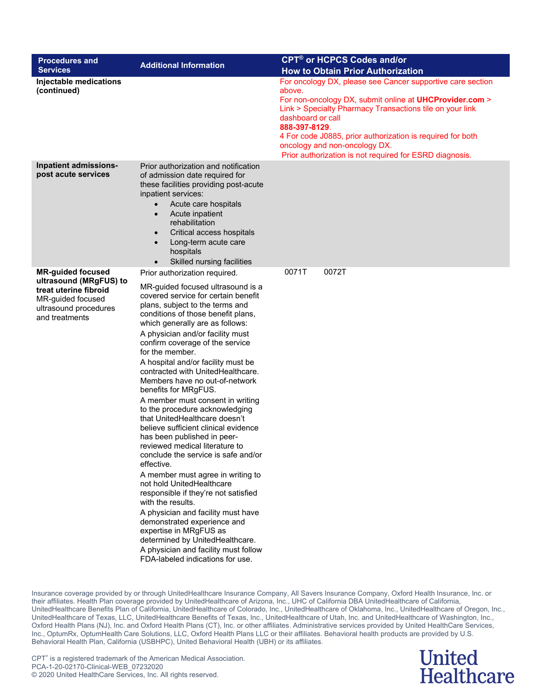| <b>Procedures and</b><br><b>Services</b>                                                                                                    | <b>Additional Information</b>                                                                                                                                                                                                                                                                                                                                                                                                                                                                                                                                                                                                                                                                                                                                                                                                                                                                                                                                                                                                                                          | <b>CPT<sup>®</sup> or HCPCS Codes and/or</b><br><b>How to Obtain Prior Authorization</b>                                                                                                                                                                                                                                                                                                           |
|---------------------------------------------------------------------------------------------------------------------------------------------|------------------------------------------------------------------------------------------------------------------------------------------------------------------------------------------------------------------------------------------------------------------------------------------------------------------------------------------------------------------------------------------------------------------------------------------------------------------------------------------------------------------------------------------------------------------------------------------------------------------------------------------------------------------------------------------------------------------------------------------------------------------------------------------------------------------------------------------------------------------------------------------------------------------------------------------------------------------------------------------------------------------------------------------------------------------------|----------------------------------------------------------------------------------------------------------------------------------------------------------------------------------------------------------------------------------------------------------------------------------------------------------------------------------------------------------------------------------------------------|
| Injectable medications<br>(continued)                                                                                                       |                                                                                                                                                                                                                                                                                                                                                                                                                                                                                                                                                                                                                                                                                                                                                                                                                                                                                                                                                                                                                                                                        | For oncology DX, please see Cancer supportive care section<br>above.<br>For non-oncology DX, submit online at <b>UHCProvider.com</b> ><br>Link > Specialty Pharmacy Transactions tile on your link<br>dashboard or call<br>888-397-8129.<br>4 For code J0885, prior authorization is required for both<br>oncology and non-oncology DX.<br>Prior authorization is not required for ESRD diagnosis. |
| Inpatient admissions-<br>post acute services                                                                                                | Prior authorization and notification<br>of admission date required for<br>these facilities providing post-acute<br>inpatient services:<br>Acute care hospitals<br>$\bullet$<br>Acute inpatient<br>$\bullet$<br>rehabilitation<br>Critical access hospitals<br>$\bullet$<br>Long-term acute care<br>$\bullet$<br>hospitals<br>Skilled nursing facilities                                                                                                                                                                                                                                                                                                                                                                                                                                                                                                                                                                                                                                                                                                                |                                                                                                                                                                                                                                                                                                                                                                                                    |
| <b>MR-guided focused</b><br>ultrasound (MRgFUS) to<br>treat uterine fibroid<br>MR-guided focused<br>ultrasound procedures<br>and treatments | Prior authorization required.<br>MR-guided focused ultrasound is a<br>covered service for certain benefit<br>plans, subject to the terms and<br>conditions of those benefit plans,<br>which generally are as follows:<br>A physician and/or facility must<br>confirm coverage of the service<br>for the member.<br>A hospital and/or facility must be<br>contracted with UnitedHealthcare.<br>Members have no out-of-network<br>benefits for MRgFUS.<br>A member must consent in writing<br>to the procedure acknowledging<br>that UnitedHealthcare doesn't<br>believe sufficient clinical evidence<br>has been published in peer-<br>reviewed medical literature to<br>conclude the service is safe and/or<br>effective.<br>A member must agree in writing to<br>not hold UnitedHealthcare<br>responsible if they're not satisfied<br>with the results.<br>A physician and facility must have<br>demonstrated experience and<br>expertise in MRgFUS as<br>determined by UnitedHealthcare.<br>A physician and facility must follow<br>FDA-labeled indications for use. | 0072T<br>0071T                                                                                                                                                                                                                                                                                                                                                                                     |

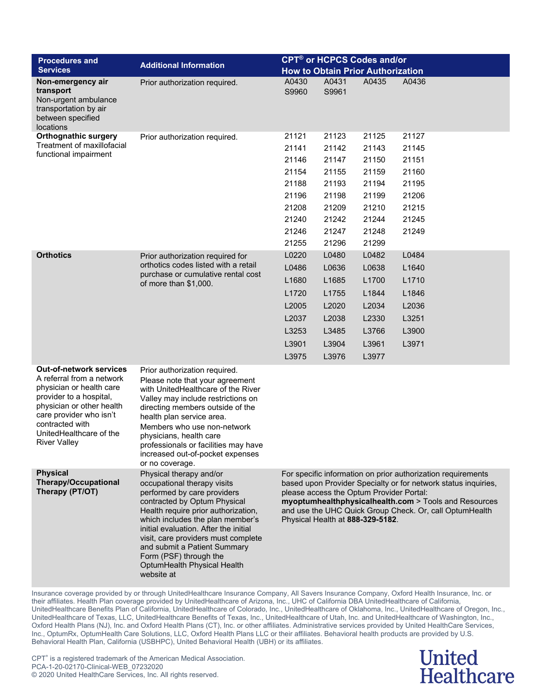| <b>Procedures and</b>                                                                                                                                                                                                                           | <b>Additional Information</b>                                                                                                                                                                                                                                                                                                                                                           |                                                                                                                                                                                                                                                                                                                                    | <b>CPT<sup>®</sup> or HCPCS Codes and/or</b> |       |       |  |  |
|-------------------------------------------------------------------------------------------------------------------------------------------------------------------------------------------------------------------------------------------------|-----------------------------------------------------------------------------------------------------------------------------------------------------------------------------------------------------------------------------------------------------------------------------------------------------------------------------------------------------------------------------------------|------------------------------------------------------------------------------------------------------------------------------------------------------------------------------------------------------------------------------------------------------------------------------------------------------------------------------------|----------------------------------------------|-------|-------|--|--|
| <b>Services</b>                                                                                                                                                                                                                                 |                                                                                                                                                                                                                                                                                                                                                                                         |                                                                                                                                                                                                                                                                                                                                    | <b>How to Obtain Prior Authorization</b>     |       |       |  |  |
| Non-emergency air<br>transport<br>Non-urgent ambulance<br>transportation by air<br>between specified<br>locations                                                                                                                               | Prior authorization required.                                                                                                                                                                                                                                                                                                                                                           | A0430<br>S9960                                                                                                                                                                                                                                                                                                                     | A0431<br>S9961                               | A0435 | A0436 |  |  |
| <b>Orthognathic surgery</b>                                                                                                                                                                                                                     | Prior authorization required.                                                                                                                                                                                                                                                                                                                                                           | 21121                                                                                                                                                                                                                                                                                                                              | 21123                                        | 21125 | 21127 |  |  |
| Treatment of maxillofacial                                                                                                                                                                                                                      |                                                                                                                                                                                                                                                                                                                                                                                         | 21141                                                                                                                                                                                                                                                                                                                              | 21142                                        | 21143 | 21145 |  |  |
| functional impairment                                                                                                                                                                                                                           |                                                                                                                                                                                                                                                                                                                                                                                         | 21146                                                                                                                                                                                                                                                                                                                              | 21147                                        | 21150 | 21151 |  |  |
|                                                                                                                                                                                                                                                 |                                                                                                                                                                                                                                                                                                                                                                                         | 21154                                                                                                                                                                                                                                                                                                                              | 21155                                        | 21159 | 21160 |  |  |
|                                                                                                                                                                                                                                                 |                                                                                                                                                                                                                                                                                                                                                                                         | 21188                                                                                                                                                                                                                                                                                                                              | 21193                                        | 21194 | 21195 |  |  |
|                                                                                                                                                                                                                                                 |                                                                                                                                                                                                                                                                                                                                                                                         | 21196                                                                                                                                                                                                                                                                                                                              | 21198                                        | 21199 | 21206 |  |  |
|                                                                                                                                                                                                                                                 |                                                                                                                                                                                                                                                                                                                                                                                         | 21208                                                                                                                                                                                                                                                                                                                              | 21209                                        | 21210 | 21215 |  |  |
|                                                                                                                                                                                                                                                 |                                                                                                                                                                                                                                                                                                                                                                                         | 21240                                                                                                                                                                                                                                                                                                                              | 21242                                        | 21244 | 21245 |  |  |
|                                                                                                                                                                                                                                                 |                                                                                                                                                                                                                                                                                                                                                                                         | 21246                                                                                                                                                                                                                                                                                                                              | 21247                                        | 21248 | 21249 |  |  |
|                                                                                                                                                                                                                                                 |                                                                                                                                                                                                                                                                                                                                                                                         | 21255                                                                                                                                                                                                                                                                                                                              | 21296                                        | 21299 |       |  |  |
| <b>Orthotics</b>                                                                                                                                                                                                                                | Prior authorization required for                                                                                                                                                                                                                                                                                                                                                        | L0220                                                                                                                                                                                                                                                                                                                              | L0480                                        | L0482 | L0484 |  |  |
|                                                                                                                                                                                                                                                 | orthotics codes listed with a retail<br>purchase or cumulative rental cost<br>of more than \$1,000.                                                                                                                                                                                                                                                                                     | L0486                                                                                                                                                                                                                                                                                                                              | L0636                                        | L0638 | L1640 |  |  |
|                                                                                                                                                                                                                                                 |                                                                                                                                                                                                                                                                                                                                                                                         | L1680                                                                                                                                                                                                                                                                                                                              | L1685                                        | L1700 | L1710 |  |  |
|                                                                                                                                                                                                                                                 |                                                                                                                                                                                                                                                                                                                                                                                         | L1720                                                                                                                                                                                                                                                                                                                              | L1755                                        | L1844 | L1846 |  |  |
|                                                                                                                                                                                                                                                 |                                                                                                                                                                                                                                                                                                                                                                                         | L2005                                                                                                                                                                                                                                                                                                                              | L2020                                        | L2034 | L2036 |  |  |
|                                                                                                                                                                                                                                                 |                                                                                                                                                                                                                                                                                                                                                                                         | L2037                                                                                                                                                                                                                                                                                                                              | L2038                                        | L2330 | L3251 |  |  |
|                                                                                                                                                                                                                                                 |                                                                                                                                                                                                                                                                                                                                                                                         | L3253                                                                                                                                                                                                                                                                                                                              | L3485                                        | L3766 | L3900 |  |  |
|                                                                                                                                                                                                                                                 |                                                                                                                                                                                                                                                                                                                                                                                         | L3901                                                                                                                                                                                                                                                                                                                              | L3904                                        | L3961 | L3971 |  |  |
|                                                                                                                                                                                                                                                 |                                                                                                                                                                                                                                                                                                                                                                                         | L3975                                                                                                                                                                                                                                                                                                                              | L3976                                        | L3977 |       |  |  |
| <b>Out-of-network services</b><br>A referral from a network<br>physician or health care<br>provider to a hospital,<br>physician or other health<br>care provider who isn't<br>contracted with<br>UnitedHealthcare of the<br><b>River Valley</b> | Prior authorization required.<br>Please note that your agreement<br>with UnitedHealthcare of the River<br>Valley may include restrictions on<br>directing members outside of the<br>health plan service area.<br>Members who use non-network<br>physicians, health care<br>professionals or facilities may have<br>increased out-of-pocket expenses<br>or no coverage.                  |                                                                                                                                                                                                                                                                                                                                    |                                              |       |       |  |  |
| <b>Physical</b><br><b>Therapy/Occupational</b><br>Therapy (PT/OT)                                                                                                                                                                               | Physical therapy and/or<br>occupational therapy visits<br>performed by care providers<br>contracted by Optum Physical<br>Health require prior authorization,<br>which includes the plan member's<br>initial evaluation. After the initial<br>visit, care providers must complete<br>and submit a Patient Summary<br>Form (PSF) through the<br>OptumHealth Physical Health<br>website at | For specific information on prior authorization requirements<br>based upon Provider Specialty or for network status inquiries,<br>please access the Optum Provider Portal:<br>myoptumhealthphysicalhealth.com > Tools and Resources<br>and use the UHC Quick Group Check. Or, call OptumHealth<br>Physical Health at 888-329-5182. |                                              |       |       |  |  |

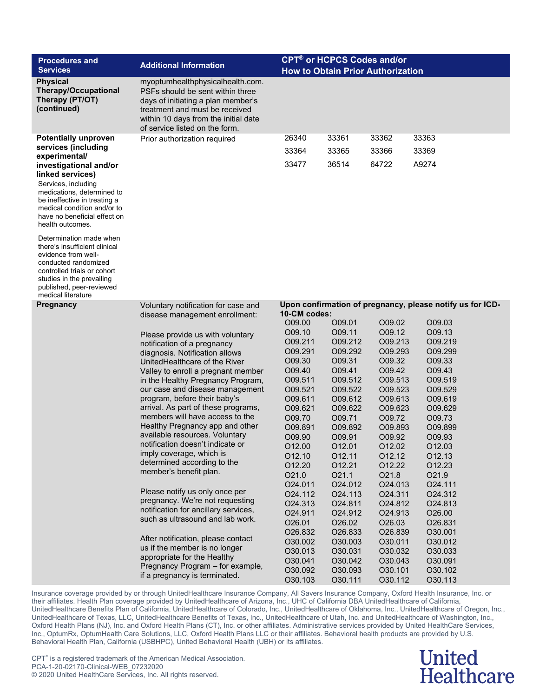| <b>Procedures and</b><br><b>Services</b>                                                                                                                                                                                            | <b>Additional Information</b>                                                                                                                                                                                          | <b>CPT<sup>®</sup> or HCPCS Codes and/or</b><br><b>How to Obtain Prior Authorization</b> |                    |                    |                                                           |  |
|-------------------------------------------------------------------------------------------------------------------------------------------------------------------------------------------------------------------------------------|------------------------------------------------------------------------------------------------------------------------------------------------------------------------------------------------------------------------|------------------------------------------------------------------------------------------|--------------------|--------------------|-----------------------------------------------------------|--|
| <b>Physical</b><br><b>Therapy/Occupational</b><br>Therapy (PT/OT)<br>(continued)                                                                                                                                                    | myoptumhealthphysicalhealth.com.<br>PSFs should be sent within three<br>days of initiating a plan member's<br>treatment and must be received<br>within 10 days from the initial date<br>of service listed on the form. |                                                                                          |                    |                    |                                                           |  |
| <b>Potentially unproven</b>                                                                                                                                                                                                         | Prior authorization required                                                                                                                                                                                           | 26340                                                                                    | 33361              | 33362              | 33363                                                     |  |
| services (including                                                                                                                                                                                                                 |                                                                                                                                                                                                                        | 33364                                                                                    | 33365              | 33366              | 33369                                                     |  |
| experimental/<br>investigational and/or<br>linked services)<br>Services, including<br>medications, determined to<br>be ineffective in treating a<br>medical condition and/or to<br>have no beneficial effect on<br>health outcomes. |                                                                                                                                                                                                                        | 33477                                                                                    | 36514              | 64722              | A9274                                                     |  |
| Determination made when<br>there's insufficient clinical<br>evidence from well-<br>conducted randomized<br>controlled trials or cohort<br>studies in the prevailing<br>published, peer-reviewed<br>medical literature               |                                                                                                                                                                                                                        |                                                                                          |                    |                    |                                                           |  |
| <b>Pregnancy</b>                                                                                                                                                                                                                    | Voluntary notification for case and                                                                                                                                                                                    |                                                                                          |                    |                    | Upon confirmation of pregnancy, please notify us for ICD- |  |
|                                                                                                                                                                                                                                     | disease management enrollment:                                                                                                                                                                                         | 10-CM codes:                                                                             |                    |                    |                                                           |  |
|                                                                                                                                                                                                                                     |                                                                                                                                                                                                                        | O09.00<br>O09.10                                                                         | O09.01<br>O09.11   | O09.02<br>O09.12   | O09.03<br>O09.13                                          |  |
|                                                                                                                                                                                                                                     | Please provide us with voluntary                                                                                                                                                                                       | O09.211                                                                                  | O09.212            | O09.213            | O09.219                                                   |  |
|                                                                                                                                                                                                                                     | notification of a pregnancy<br>diagnosis. Notification allows                                                                                                                                                          | O09.291                                                                                  | O09.292            | O09.293            | O09.299                                                   |  |
|                                                                                                                                                                                                                                     | UnitedHealthcare of the River                                                                                                                                                                                          | O09.30                                                                                   | O09.31             | O09.32             | O09.33                                                    |  |
|                                                                                                                                                                                                                                     | Valley to enroll a pregnant member                                                                                                                                                                                     | O09.40                                                                                   | O09.41             | O09.42             | O09.43                                                    |  |
|                                                                                                                                                                                                                                     | in the Healthy Pregnancy Program,                                                                                                                                                                                      | O09.511                                                                                  | O09.512            | O09.513            | O09.519                                                   |  |
|                                                                                                                                                                                                                                     | our case and disease management                                                                                                                                                                                        | O09.521                                                                                  | O09.522            | O09.523            | O09.529                                                   |  |
|                                                                                                                                                                                                                                     | program, before their baby's                                                                                                                                                                                           | O09.611                                                                                  | O09.612            | O09.613            | O09.619                                                   |  |
|                                                                                                                                                                                                                                     | arrival. As part of these programs,                                                                                                                                                                                    | O09.621                                                                                  | O09.622            | O09.623            | O09.629                                                   |  |
|                                                                                                                                                                                                                                     | members will have access to the<br>Healthy Pregnancy app and other                                                                                                                                                     | O09.70                                                                                   | O09.71             | O09.72             | O09.73                                                    |  |
|                                                                                                                                                                                                                                     | available resources. Voluntary                                                                                                                                                                                         | O09.891<br>O09.90                                                                        | O09.892<br>O09.91  | O09.893<br>O09.92  | O09.899<br>O09.93                                         |  |
|                                                                                                                                                                                                                                     | notification doesn't indicate or                                                                                                                                                                                       | O12.00                                                                                   | O12.01             | O12.02             | O12.03                                                    |  |
|                                                                                                                                                                                                                                     | imply coverage, which is                                                                                                                                                                                               | O12.10                                                                                   | 012.11             | 012.12             | 012.13                                                    |  |
|                                                                                                                                                                                                                                     | determined according to the                                                                                                                                                                                            | O12.20                                                                                   | 012.21             | O12.22             | O12.23                                                    |  |
|                                                                                                                                                                                                                                     | member's benefit plan.                                                                                                                                                                                                 | O21.0                                                                                    | O21.1              | O21.8              | O21.9                                                     |  |
|                                                                                                                                                                                                                                     |                                                                                                                                                                                                                        | O24.011                                                                                  | O24.012            | O24.013            | O24.111                                                   |  |
|                                                                                                                                                                                                                                     | Please notify us only once per                                                                                                                                                                                         | O24.112                                                                                  | O24.113            | O24.311            | O24.312                                                   |  |
|                                                                                                                                                                                                                                     | pregnancy. We're not requesting<br>notification for ancillary services,                                                                                                                                                | O24.313                                                                                  | O24.811            | O24.812            | O24.813                                                   |  |
|                                                                                                                                                                                                                                     | such as ultrasound and lab work.                                                                                                                                                                                       | O24.911                                                                                  | O24.912            | O24.913            | O26.00                                                    |  |
|                                                                                                                                                                                                                                     |                                                                                                                                                                                                                        | O26.01                                                                                   | O26.02             | O26.03             | O26.831                                                   |  |
|                                                                                                                                                                                                                                     | After notification, please contact                                                                                                                                                                                     | O26.832                                                                                  | O26.833            | O26.839            | O30.001                                                   |  |
|                                                                                                                                                                                                                                     | us if the member is no longer                                                                                                                                                                                          | O30.002<br>O30.013                                                                       | O30.003<br>O30.031 | O30.011<br>O30.032 | O30.012<br>O30.033                                        |  |
|                                                                                                                                                                                                                                     | appropriate for the Healthy                                                                                                                                                                                            | O30.041                                                                                  | O30.042            | O30.043            | O30.091                                                   |  |
|                                                                                                                                                                                                                                     | Pregnancy Program - for example,                                                                                                                                                                                       | O30.092                                                                                  | O30.093            | O30.101            | O30.102                                                   |  |
|                                                                                                                                                                                                                                     | if a pregnancy is terminated.                                                                                                                                                                                          | O30.103                                                                                  | O30.111            | O30.112            | O30.113                                                   |  |

> **United Healthcare**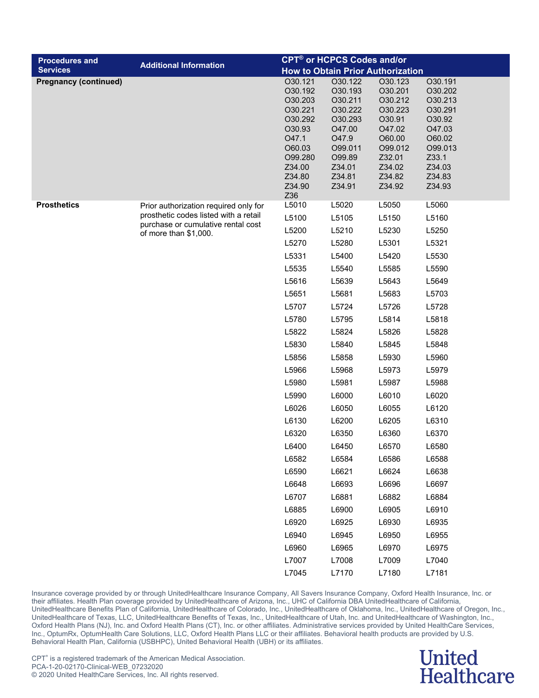| <b>Procedures and</b>        |                                                             |                                                                                                                                  | <b>CPT<sup>®</sup> or HCPCS Codes and/or</b>                                                                              |                                                                                                                           |                                                                                                                          |  |
|------------------------------|-------------------------------------------------------------|----------------------------------------------------------------------------------------------------------------------------------|---------------------------------------------------------------------------------------------------------------------------|---------------------------------------------------------------------------------------------------------------------------|--------------------------------------------------------------------------------------------------------------------------|--|
| <b>Services</b>              | <b>Additional Information</b>                               | <b>How to Obtain Prior Authorization</b>                                                                                         |                                                                                                                           |                                                                                                                           |                                                                                                                          |  |
| <b>Pregnancy (continued)</b> |                                                             | O30.121<br>O30.192<br>O30.203<br>O30.221<br>O30.292<br>O30.93<br>O47.1<br>O60.03<br>O99.280<br>Z34.00<br>Z34.80<br>Z34.90<br>Z36 | O30.122<br>O30.193<br>O30.211<br>O30.222<br>O30.293<br>O47.00<br>O47.9<br>O99.011<br>O99.89<br>Z34.01<br>Z34.81<br>Z34.91 | O30.123<br>O30.201<br>O30.212<br>O30.223<br>O30.91<br>O47.02<br>O60.00<br>O99.012<br>Z32.01<br>Z34.02<br>Z34.82<br>Z34.92 | O30.191<br>O30.202<br>O30.213<br>O30.291<br>O30.92<br>O47.03<br>O60.02<br>O99.013<br>Z33.1<br>Z34.03<br>Z34.83<br>Z34.93 |  |
| <b>Prosthetics</b>           | Prior authorization required only for                       | L5010                                                                                                                            | L5020                                                                                                                     | L5050                                                                                                                     | L5060                                                                                                                    |  |
|                              | prosthetic codes listed with a retail                       | L5100                                                                                                                            | L5105                                                                                                                     | L5150                                                                                                                     | L5160                                                                                                                    |  |
|                              | purchase or cumulative rental cost<br>of more than \$1,000. | L5200                                                                                                                            | L5210                                                                                                                     | L5230                                                                                                                     | L5250                                                                                                                    |  |
|                              |                                                             | L5270                                                                                                                            | L5280                                                                                                                     | L5301                                                                                                                     | L5321                                                                                                                    |  |
|                              |                                                             | L5331                                                                                                                            | L5400                                                                                                                     | L5420                                                                                                                     | L5530                                                                                                                    |  |
|                              |                                                             | L5535                                                                                                                            | L5540                                                                                                                     | L5585                                                                                                                     | L5590                                                                                                                    |  |
|                              |                                                             | L5616                                                                                                                            | L5639                                                                                                                     | L5643                                                                                                                     | L5649                                                                                                                    |  |
|                              |                                                             | L5651                                                                                                                            | L5681                                                                                                                     | L5683                                                                                                                     | L5703                                                                                                                    |  |
|                              |                                                             | L5707                                                                                                                            | L5724                                                                                                                     | L5726                                                                                                                     | L5728                                                                                                                    |  |
|                              |                                                             | L5780                                                                                                                            | L5795                                                                                                                     | L5814                                                                                                                     | L5818                                                                                                                    |  |
|                              |                                                             | L5822                                                                                                                            | L5824                                                                                                                     | L5826                                                                                                                     | L5828                                                                                                                    |  |
|                              |                                                             | L5830                                                                                                                            | L5840                                                                                                                     | L5845                                                                                                                     | L5848                                                                                                                    |  |
|                              |                                                             | L5856                                                                                                                            | L5858                                                                                                                     | L5930                                                                                                                     | L5960                                                                                                                    |  |
|                              |                                                             | L5966                                                                                                                            | L5968                                                                                                                     | L5973                                                                                                                     | L5979                                                                                                                    |  |
|                              |                                                             | L5980                                                                                                                            | L5981                                                                                                                     | L5987                                                                                                                     | L5988                                                                                                                    |  |
|                              |                                                             | L5990                                                                                                                            | L6000                                                                                                                     | L6010                                                                                                                     | L6020                                                                                                                    |  |
|                              |                                                             | L6026                                                                                                                            | L6050                                                                                                                     | L6055                                                                                                                     | L6120                                                                                                                    |  |
|                              |                                                             | L6130                                                                                                                            | L6200                                                                                                                     | L6205                                                                                                                     | L6310                                                                                                                    |  |
|                              |                                                             | L6320                                                                                                                            | L6350                                                                                                                     | L6360                                                                                                                     | L6370                                                                                                                    |  |
|                              |                                                             | L6400                                                                                                                            | L6450                                                                                                                     | L6570                                                                                                                     | L6580                                                                                                                    |  |
|                              |                                                             | L6582                                                                                                                            | L6584                                                                                                                     | L6586                                                                                                                     | L6588                                                                                                                    |  |
|                              |                                                             | L6590                                                                                                                            | L6621                                                                                                                     | L6624                                                                                                                     | L6638                                                                                                                    |  |
|                              |                                                             | L6648                                                                                                                            | L6693                                                                                                                     | L6696                                                                                                                     | L6697                                                                                                                    |  |
|                              |                                                             | L6707                                                                                                                            | L6881                                                                                                                     | L6882                                                                                                                     | L6884                                                                                                                    |  |
|                              |                                                             | L6885                                                                                                                            | L6900                                                                                                                     | L6905                                                                                                                     | L6910                                                                                                                    |  |
|                              |                                                             | L6920                                                                                                                            | L6925                                                                                                                     | L6930                                                                                                                     | L6935                                                                                                                    |  |
|                              |                                                             | L6940                                                                                                                            | L6945                                                                                                                     | L6950                                                                                                                     | L6955                                                                                                                    |  |
|                              |                                                             | L6960                                                                                                                            | L6965                                                                                                                     | L6970                                                                                                                     | L6975                                                                                                                    |  |
|                              |                                                             | L7007                                                                                                                            | L7008                                                                                                                     | L7009                                                                                                                     | L7040                                                                                                                    |  |
|                              |                                                             | L7045                                                                                                                            | L7170                                                                                                                     | L7180                                                                                                                     | L7181                                                                                                                    |  |

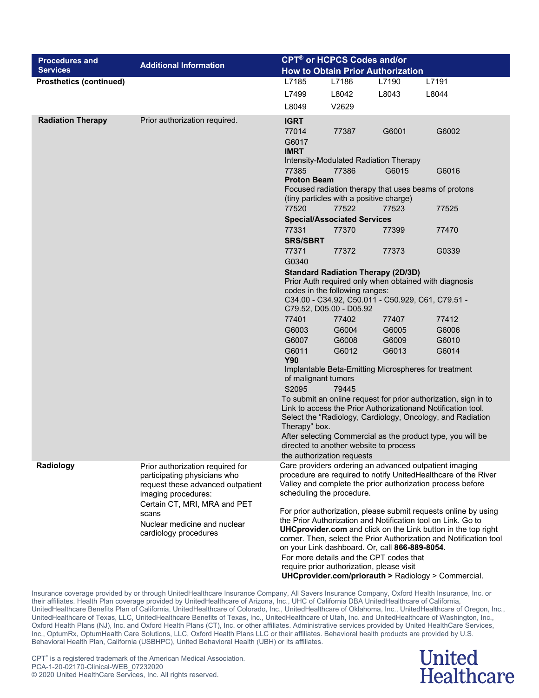| <b>Procedures and</b><br><b>Services</b> | <b>Additional Information</b>                                                                                                |                                                                                                                                                                                                                                                                                                                                                                                                                                                                                             | CPT <sup>®</sup> or HCPCS Codes and/or<br><b>How to Obtain Prior Authorization</b> |       |                                                                                                                                                                                        |  |
|------------------------------------------|------------------------------------------------------------------------------------------------------------------------------|---------------------------------------------------------------------------------------------------------------------------------------------------------------------------------------------------------------------------------------------------------------------------------------------------------------------------------------------------------------------------------------------------------------------------------------------------------------------------------------------|------------------------------------------------------------------------------------|-------|----------------------------------------------------------------------------------------------------------------------------------------------------------------------------------------|--|
| <b>Prosthetics (continued)</b>           |                                                                                                                              | L7185                                                                                                                                                                                                                                                                                                                                                                                                                                                                                       | L7186                                                                              | L7190 | L7191                                                                                                                                                                                  |  |
|                                          |                                                                                                                              | L7499                                                                                                                                                                                                                                                                                                                                                                                                                                                                                       | L8042                                                                              | L8043 | L8044                                                                                                                                                                                  |  |
|                                          |                                                                                                                              | L8049                                                                                                                                                                                                                                                                                                                                                                                                                                                                                       | V2629                                                                              |       |                                                                                                                                                                                        |  |
| <b>Radiation Therapy</b>                 | Prior authorization required.                                                                                                | <b>IGRT</b><br>77014<br>G6017<br><b>IMRT</b>                                                                                                                                                                                                                                                                                                                                                                                                                                                | 77387                                                                              | G6001 | G6002                                                                                                                                                                                  |  |
|                                          |                                                                                                                              | 77385<br><b>Proton Beam</b>                                                                                                                                                                                                                                                                                                                                                                                                                                                                 | Intensity-Modulated Radiation Therapy<br>77386                                     | G6015 | G6016                                                                                                                                                                                  |  |
|                                          |                                                                                                                              |                                                                                                                                                                                                                                                                                                                                                                                                                                                                                             | (tiny particles with a positive charge)                                            |       | Focused radiation therapy that uses beams of protons                                                                                                                                   |  |
|                                          |                                                                                                                              | 77520                                                                                                                                                                                                                                                                                                                                                                                                                                                                                       | 77522<br><b>Special/Associated Services</b>                                        | 77523 | 77525                                                                                                                                                                                  |  |
|                                          |                                                                                                                              | 77331<br><b>SRS/SBRT</b>                                                                                                                                                                                                                                                                                                                                                                                                                                                                    | 77370                                                                              | 77399 | 77470                                                                                                                                                                                  |  |
|                                          |                                                                                                                              | 77371<br>G0340                                                                                                                                                                                                                                                                                                                                                                                                                                                                              | 77372                                                                              | 77373 | G0339                                                                                                                                                                                  |  |
|                                          |                                                                                                                              | <b>Standard Radiation Therapy (2D/3D)</b><br>Prior Auth required only when obtained with diagnosis<br>codes in the following ranges:<br>C34.00 - C34.92, C50.011 - C50.929, C61, C79.51 -<br>C79.52, D05.00 - D05.92<br>77401<br>77402<br>77407<br>77412                                                                                                                                                                                                                                    |                                                                                    |       |                                                                                                                                                                                        |  |
|                                          |                                                                                                                              | G6003                                                                                                                                                                                                                                                                                                                                                                                                                                                                                       | G6004                                                                              | G6005 | G6006                                                                                                                                                                                  |  |
|                                          |                                                                                                                              | G6007                                                                                                                                                                                                                                                                                                                                                                                                                                                                                       | G6008                                                                              | G6009 | G6010                                                                                                                                                                                  |  |
|                                          |                                                                                                                              | G6011<br><b>Y90</b>                                                                                                                                                                                                                                                                                                                                                                                                                                                                         | G6012                                                                              | G6013 | G6014                                                                                                                                                                                  |  |
|                                          |                                                                                                                              | Implantable Beta-Emitting Microspheres for treatment<br>of malignant tumors                                                                                                                                                                                                                                                                                                                                                                                                                 |                                                                                    |       |                                                                                                                                                                                        |  |
|                                          |                                                                                                                              | S2095<br>79445<br>To submit an online request for prior authorization, sign in to<br>Link to access the Prior Authorizationand Notification tool.<br>Select the "Radiology, Cardiology, Oncology, and Radiation<br>Therapy" box.<br>After selecting Commercial as the product type, you will be<br>directed to another website to process<br>the authorization requests                                                                                                                     |                                                                                    |       |                                                                                                                                                                                        |  |
| Radiology                                | Prior authorization required for<br>participating physicians who<br>request these advanced outpatient<br>imaging procedures: |                                                                                                                                                                                                                                                                                                                                                                                                                                                                                             | scheduling the procedure.                                                          |       | Care providers ordering an advanced outpatient imaging<br>procedure are required to notify UnitedHealthcare of the River<br>Valley and complete the prior authorization process before |  |
|                                          | Certain CT, MRI, MRA and PET<br>scans<br>Nuclear medicine and nuclear<br>cardiology procedures                               | For prior authorization, please submit requests online by using<br>the Prior Authorization and Notification tool on Link. Go to<br><b>UHCprovider.com</b> and click on the Link button in the top right<br>corner. Then, select the Prior Authorization and Notification tool<br>on your Link dashboard. Or, call 866-889-8054.<br>For more details and the CPT codes that<br>require prior authorization, please visit<br><b>UHCprovider.com/priorauth &gt; Radiology &gt; Commercial.</b> |                                                                                    |       |                                                                                                                                                                                        |  |

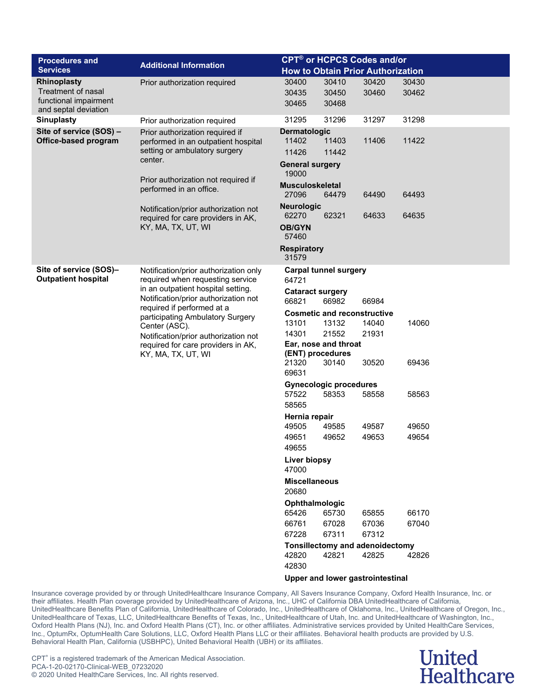| <b>Procedures and</b><br><b>Services</b>                                                  | <b>Additional Information</b>                                                                                                                                                                                                                                                                                                                  |                                                                   | <b>CPT<sup>®</sup> or HCPCS Codes and/or</b><br><b>How to Obtain Prior Authorization</b> |                                          |                |  |  |  |
|-------------------------------------------------------------------------------------------|------------------------------------------------------------------------------------------------------------------------------------------------------------------------------------------------------------------------------------------------------------------------------------------------------------------------------------------------|-------------------------------------------------------------------|------------------------------------------------------------------------------------------|------------------------------------------|----------------|--|--|--|
| Rhinoplasty<br><b>Treatment of nasal</b><br>functional impairment<br>and septal deviation | Prior authorization required                                                                                                                                                                                                                                                                                                                   | 30400<br>30435<br>30465                                           | 30410<br>30450<br>30468                                                                  | 30420<br>30460                           | 30430<br>30462 |  |  |  |
| <b>Sinuplasty</b>                                                                         | Prior authorization required                                                                                                                                                                                                                                                                                                                   | 31295                                                             | 31296                                                                                    | 31297                                    | 31298          |  |  |  |
| Site of service (SOS) -<br>Office-based program                                           | Prior authorization required if<br>performed in an outpatient hospital<br>setting or ambulatory surgery<br>center.                                                                                                                                                                                                                             | Dermatologic<br>11402<br>11426<br><b>General surgery</b><br>19000 | 11403<br>11442                                                                           | 11406                                    | 11422          |  |  |  |
|                                                                                           | Prior authorization not required if<br>performed in an office.                                                                                                                                                                                                                                                                                 | <b>Musculoskeletal</b><br>27096                                   | 64479                                                                                    | 64490                                    | 64493          |  |  |  |
|                                                                                           | Notification/prior authorization not<br>required for care providers in AK,                                                                                                                                                                                                                                                                     | <b>Neurologic</b><br>62270                                        | 62321                                                                                    | 64633                                    | 64635          |  |  |  |
|                                                                                           | KY, MA, TX, UT, WI                                                                                                                                                                                                                                                                                                                             | <b>OB/GYN</b><br>57460                                            |                                                                                          |                                          |                |  |  |  |
|                                                                                           |                                                                                                                                                                                                                                                                                                                                                | <b>Respiratory</b><br>31579                                       |                                                                                          |                                          |                |  |  |  |
| Site of service (SOS)-<br><b>Outpatient hospital</b>                                      | Notification/prior authorization only<br>required when requesting service<br>in an outpatient hospital setting.<br>Notification/prior authorization not<br>required if performed at a<br>participating Ambulatory Surgery<br>Center (ASC).<br>Notification/prior authorization not<br>required for care providers in AK,<br>KY, MA, TX, UT, WI | <b>Carpal tunnel surgery</b><br>64721                             |                                                                                          |                                          |                |  |  |  |
|                                                                                           |                                                                                                                                                                                                                                                                                                                                                | <b>Cataract surgery</b><br>66821                                  | 66982                                                                                    | 66984                                    |                |  |  |  |
|                                                                                           |                                                                                                                                                                                                                                                                                                                                                | <b>Cosmetic and reconstructive</b>                                |                                                                                          |                                          |                |  |  |  |
|                                                                                           |                                                                                                                                                                                                                                                                                                                                                | 13101                                                             | 13132                                                                                    | 14040                                    | 14060          |  |  |  |
|                                                                                           |                                                                                                                                                                                                                                                                                                                                                | 14301<br>(ENT) procedures                                         | 21552<br>Ear, nose and throat                                                            | 21931                                    |                |  |  |  |
|                                                                                           |                                                                                                                                                                                                                                                                                                                                                | 21320<br>69631                                                    | 30140                                                                                    | 30520                                    | 69436          |  |  |  |
|                                                                                           |                                                                                                                                                                                                                                                                                                                                                |                                                                   | <b>Gynecologic procedures</b>                                                            |                                          |                |  |  |  |
|                                                                                           |                                                                                                                                                                                                                                                                                                                                                | 57522<br>58565                                                    | 58353                                                                                    | 58558                                    | 58563          |  |  |  |
|                                                                                           |                                                                                                                                                                                                                                                                                                                                                | Hernia repair                                                     |                                                                                          |                                          |                |  |  |  |
|                                                                                           |                                                                                                                                                                                                                                                                                                                                                | 49505<br>49651                                                    | 49585<br>49652                                                                           | 49587<br>49653                           | 49650<br>49654 |  |  |  |
|                                                                                           |                                                                                                                                                                                                                                                                                                                                                | 49655                                                             |                                                                                          |                                          |                |  |  |  |
|                                                                                           |                                                                                                                                                                                                                                                                                                                                                | Liver biopsy<br>47000                                             |                                                                                          |                                          |                |  |  |  |
|                                                                                           |                                                                                                                                                                                                                                                                                                                                                | <b>Miscellaneous</b><br>20680                                     |                                                                                          |                                          |                |  |  |  |
|                                                                                           |                                                                                                                                                                                                                                                                                                                                                | Ophthalmologic<br>65426                                           | 65730                                                                                    | 65855                                    | 66170          |  |  |  |
|                                                                                           |                                                                                                                                                                                                                                                                                                                                                | 66761                                                             | 67028                                                                                    | 67036                                    | 67040          |  |  |  |
|                                                                                           |                                                                                                                                                                                                                                                                                                                                                | 67228                                                             | 67311                                                                                    | 67312                                    |                |  |  |  |
|                                                                                           |                                                                                                                                                                                                                                                                                                                                                | 42820                                                             | 42821                                                                                    | Tonsillectomy and adenoidectomy<br>42825 | 42826          |  |  |  |
|                                                                                           |                                                                                                                                                                                                                                                                                                                                                | 42830                                                             |                                                                                          |                                          |                |  |  |  |
|                                                                                           |                                                                                                                                                                                                                                                                                                                                                |                                                                   |                                                                                          | <b>Upper and lower gastrointestinal</b>  |                |  |  |  |

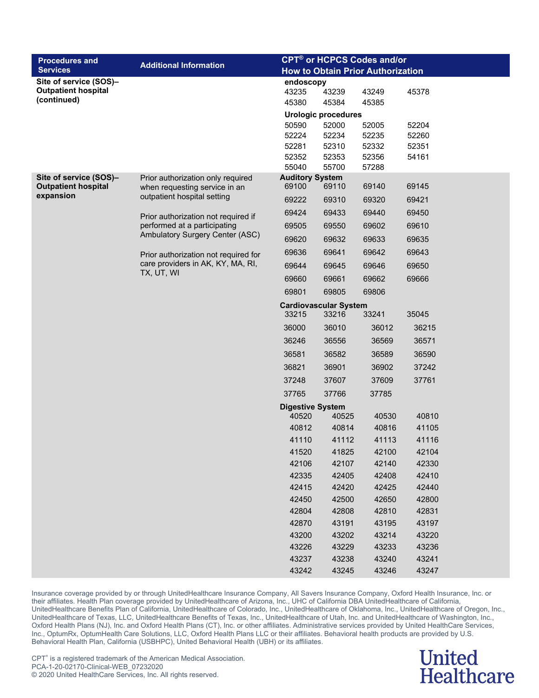| <b>Procedures and</b>                                | <b>Additional Information</b>                                       | <b>CPT<sup>®</sup> or HCPCS Codes and/or</b> |                                       |                |                |  |  |
|------------------------------------------------------|---------------------------------------------------------------------|----------------------------------------------|---------------------------------------|----------------|----------------|--|--|
| <b>Services</b>                                      |                                                                     | <b>How to Obtain Prior Authorization</b>     |                                       |                |                |  |  |
| Site of service (SOS)-                               |                                                                     | endoscopy                                    |                                       |                |                |  |  |
| <b>Outpatient hospital</b><br>(continued)            |                                                                     | 43235                                        | 43239                                 | 43249          | 45378          |  |  |
|                                                      |                                                                     | 45380                                        | 45384                                 | 45385          |                |  |  |
|                                                      |                                                                     | 50590                                        | <b>Urologic procedures</b><br>52000   | 52005          | 52204          |  |  |
|                                                      |                                                                     | 52224                                        | 52234                                 | 52235          | 52260          |  |  |
|                                                      |                                                                     | 52281                                        | 52310                                 | 52332          | 52351          |  |  |
|                                                      |                                                                     | 52352                                        | 52353                                 | 52356          | 54161          |  |  |
|                                                      |                                                                     | 55040                                        | 55700                                 | 57288          |                |  |  |
| Site of service (SOS)-<br><b>Outpatient hospital</b> | Prior authorization only required<br>when requesting service in an  | <b>Auditory System</b><br>69100              | 69110                                 | 69140          | 69145          |  |  |
| expansion                                            | outpatient hospital setting                                         | 69222                                        | 69310                                 | 69320          | 69421          |  |  |
|                                                      |                                                                     | 69424                                        | 69433                                 | 69440          | 69450          |  |  |
|                                                      | Prior authorization not required if<br>performed at a participating | 69505                                        | 69550                                 | 69602          | 69610          |  |  |
|                                                      | Ambulatory Surgery Center (ASC)                                     |                                              |                                       |                |                |  |  |
|                                                      |                                                                     | 69620                                        | 69632                                 | 69633          | 69635          |  |  |
|                                                      | Prior authorization not required for                                | 69636                                        | 69641                                 | 69642          | 69643          |  |  |
|                                                      | care providers in AK, KY, MA, RI,<br>TX, UT, WI                     | 69644                                        | 69645                                 | 69646          | 69650          |  |  |
|                                                      |                                                                     | 69660                                        | 69661                                 | 69662          | 69666          |  |  |
|                                                      |                                                                     | 69801                                        | 69805                                 | 69806          |                |  |  |
|                                                      |                                                                     | 33215                                        | <b>Cardiovascular System</b><br>33216 | 33241          | 35045          |  |  |
|                                                      |                                                                     | 36000                                        | 36010                                 | 36012          | 36215          |  |  |
|                                                      |                                                                     | 36246                                        | 36556                                 | 36569          | 36571          |  |  |
|                                                      |                                                                     | 36581                                        | 36582                                 | 36589          | 36590          |  |  |
|                                                      |                                                                     | 36821                                        | 36901                                 | 36902          | 37242          |  |  |
|                                                      |                                                                     | 37248                                        | 37607                                 | 37609          | 37761          |  |  |
|                                                      |                                                                     | 37765                                        | 37766                                 | 37785          |                |  |  |
|                                                      |                                                                     | <b>Digestive System</b>                      |                                       |                |                |  |  |
|                                                      |                                                                     | 40520                                        | 40525                                 | 40530          | 40810          |  |  |
|                                                      |                                                                     | 40812                                        | 40814                                 | 40816          | 41105          |  |  |
|                                                      |                                                                     | 41110                                        | 41112                                 | 41113          | 41116          |  |  |
|                                                      |                                                                     | 41520                                        | 41825                                 | 42100          | 42104          |  |  |
|                                                      |                                                                     | 42106                                        | 42107                                 | 42140          | 42330          |  |  |
|                                                      |                                                                     | 42335                                        | 42405                                 | 42408          | 42410          |  |  |
|                                                      |                                                                     | 42415                                        | 42420                                 | 42425          | 42440          |  |  |
|                                                      |                                                                     | 42450                                        | 42500                                 | 42650          | 42800          |  |  |
|                                                      |                                                                     | 42804                                        | 42808                                 | 42810          | 42831          |  |  |
|                                                      |                                                                     | 42870<br>43200                               | 43191                                 | 43195          | 43197          |  |  |
|                                                      |                                                                     | 43226                                        | 43202<br>43229                        | 43214<br>43233 | 43220<br>43236 |  |  |
|                                                      |                                                                     | 43237                                        | 43238                                 | 43240          | 43241          |  |  |
|                                                      |                                                                     | 43242                                        | 43245                                 | 43246          | 43247          |  |  |

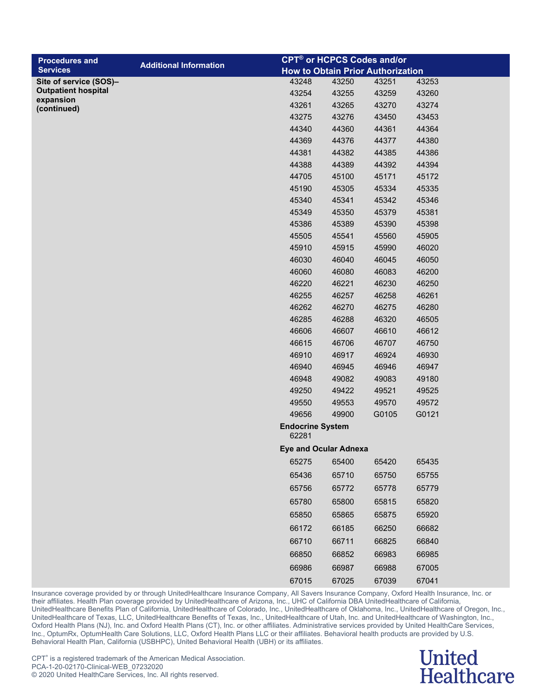| <b>Procedures and</b>                                  | <b>Additional Information</b> |                                  |       | <b>CPT<sup>®</sup> or HCPCS Codes and/or</b> |       |
|--------------------------------------------------------|-------------------------------|----------------------------------|-------|----------------------------------------------|-------|
| <b>Services</b>                                        |                               |                                  |       | <b>How to Obtain Prior Authorization</b>     |       |
| Site of service (SOS)-                                 |                               | 43248                            | 43250 | 43251                                        | 43253 |
| <b>Outpatient hospital</b><br>expansion<br>(continued) |                               | 43254                            | 43255 | 43259                                        | 43260 |
|                                                        |                               | 43261                            | 43265 | 43270                                        | 43274 |
|                                                        |                               | 43275                            | 43276 | 43450                                        | 43453 |
|                                                        |                               | 44340                            | 44360 | 44361                                        | 44364 |
|                                                        |                               | 44369                            | 44376 | 44377                                        | 44380 |
|                                                        |                               | 44381                            | 44382 | 44385                                        | 44386 |
|                                                        |                               | 44388                            | 44389 | 44392                                        | 44394 |
|                                                        |                               | 44705                            | 45100 | 45171                                        | 45172 |
|                                                        |                               | 45190                            | 45305 | 45334                                        | 45335 |
|                                                        |                               | 45340                            | 45341 | 45342                                        | 45346 |
|                                                        |                               | 45349                            | 45350 | 45379                                        | 45381 |
|                                                        |                               | 45386                            | 45389 | 45390                                        | 45398 |
|                                                        |                               | 45505                            | 45541 | 45560                                        | 45905 |
|                                                        |                               | 45910                            | 45915 | 45990                                        | 46020 |
|                                                        |                               | 46030                            | 46040 | 46045                                        | 46050 |
|                                                        |                               | 46060                            | 46080 | 46083                                        | 46200 |
|                                                        |                               | 46220                            | 46221 | 46230                                        | 46250 |
|                                                        |                               | 46255                            | 46257 | 46258                                        | 46261 |
|                                                        |                               | 46262                            | 46270 | 46275                                        | 46280 |
|                                                        |                               | 46285                            | 46288 | 46320                                        | 46505 |
|                                                        |                               | 46606                            | 46607 | 46610                                        | 46612 |
|                                                        |                               | 46615                            | 46706 | 46707                                        | 46750 |
|                                                        |                               | 46910                            | 46917 | 46924                                        | 46930 |
|                                                        |                               | 46940                            | 46945 | 46946                                        | 46947 |
|                                                        |                               | 46948                            | 49082 | 49083                                        | 49180 |
|                                                        |                               | 49250                            | 49422 | 49521                                        | 49525 |
|                                                        |                               | 49550                            | 49553 | 49570                                        | 49572 |
|                                                        |                               | 49656                            | 49900 | G0105                                        | G0121 |
|                                                        |                               | <b>Endocrine System</b><br>62281 |       |                                              |       |
|                                                        |                               | <b>Eye and Ocular Adnexa</b>     |       |                                              |       |
|                                                        |                               | 65275                            | 65400 | 65420                                        | 65435 |
|                                                        |                               | 65436                            | 65710 | 65750                                        | 65755 |
|                                                        |                               | 65756                            | 65772 | 65778                                        | 65779 |
|                                                        |                               | 65780                            | 65800 | 65815                                        | 65820 |
|                                                        |                               | 65850                            | 65865 | 65875                                        | 65920 |
|                                                        |                               |                                  |       |                                              |       |
|                                                        |                               | 66172                            | 66185 | 66250                                        | 66682 |
|                                                        |                               | 66710                            | 66711 | 66825                                        | 66840 |
|                                                        |                               | 66850                            | 66852 | 66983                                        | 66985 |
|                                                        |                               | 66986                            | 66987 | 66988                                        | 67005 |
|                                                        |                               | 67015                            | 67025 | 67039                                        | 67041 |
|                                                        |                               |                                  |       |                                              |       |

#### **United Healthcare**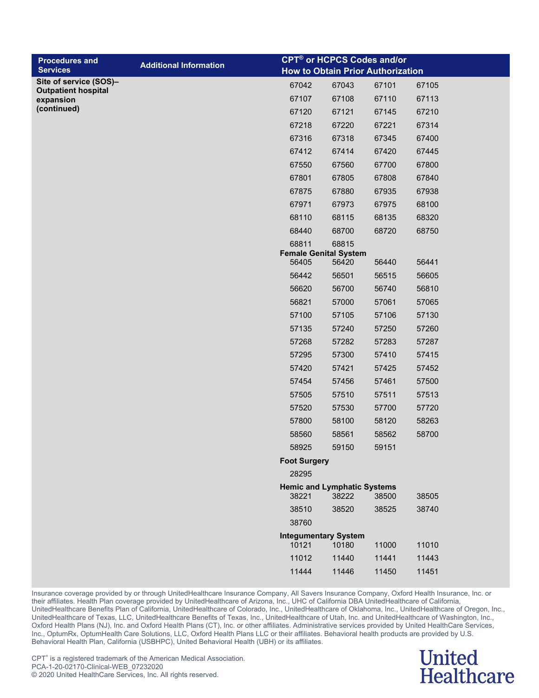| <b>Procedures and</b><br><b>Services</b> | <b>Additional Information</b> | <b>CPT<sup>®</sup> or HCPCS Codes and/or</b><br><b>How to Obtain Prior Authorization</b> |                |                |                |
|------------------------------------------|-------------------------------|------------------------------------------------------------------------------------------|----------------|----------------|----------------|
| Site of service (SOS)-                   |                               | 67042                                                                                    | 67043          | 67101          | 67105          |
| <b>Outpatient hospital</b><br>expansion  |                               | 67107                                                                                    | 67108          | 67110          | 67113          |
| (continued)                              |                               | 67120                                                                                    | 67121          | 67145          | 67210          |
|                                          |                               | 67218                                                                                    | 67220          | 67221          | 67314          |
|                                          |                               | 67316                                                                                    | 67318          | 67345          | 67400          |
|                                          |                               | 67412                                                                                    | 67414          | 67420          | 67445          |
|                                          |                               | 67550                                                                                    | 67560          | 67700          | 67800          |
|                                          |                               | 67801                                                                                    | 67805          | 67808          | 67840          |
|                                          |                               | 67875                                                                                    | 67880          | 67935          | 67938          |
|                                          |                               | 67971                                                                                    | 67973          | 67975          | 68100          |
|                                          |                               | 68110                                                                                    | 68115          | 68135          | 68320          |
|                                          |                               | 68440                                                                                    | 68700          | 68720          | 68750          |
|                                          |                               | 68811                                                                                    | 68815          |                |                |
|                                          |                               | <b>Female Genital System</b>                                                             |                |                |                |
|                                          |                               | 56405                                                                                    | 56420          | 56440          | 56441          |
|                                          |                               | 56442                                                                                    | 56501          | 56515          | 56605          |
|                                          |                               | 56620                                                                                    | 56700          | 56740          | 56810          |
|                                          |                               | 56821                                                                                    | 57000          | 57061          | 57065          |
|                                          |                               | 57100<br>57135                                                                           | 57105          | 57106          | 57130          |
|                                          |                               |                                                                                          | 57240<br>57282 | 57250          | 57260          |
|                                          |                               | 57268<br>57295                                                                           | 57300          | 57283<br>57410 | 57287<br>57415 |
|                                          |                               | 57420                                                                                    | 57421          | 57425          | 57452          |
|                                          |                               | 57454                                                                                    | 57456          | 57461          | 57500          |
|                                          |                               | 57505                                                                                    | 57510          | 57511          | 57513          |
|                                          |                               | 57520                                                                                    | 57530          | 57700          | 57720          |
|                                          |                               | 57800                                                                                    | 58100          | 58120          | 58263          |
|                                          |                               | 58560                                                                                    | 58561          | 58562          | 58700          |
|                                          |                               | 58925                                                                                    | 59150          | 59151          |                |
|                                          |                               | <b>Foot Surgery</b>                                                                      |                |                |                |
|                                          |                               | 28295                                                                                    |                |                |                |
|                                          |                               | <b>Hemic and Lymphatic Systems</b><br>38221                                              | 38222          | 38500          | 38505          |
|                                          |                               | 38510                                                                                    | 38520          | 38525          | 38740          |
|                                          |                               | 38760                                                                                    |                |                |                |
|                                          |                               | <b>Integumentary System</b>                                                              |                |                |                |
|                                          |                               | 10121                                                                                    | 10180          | 11000          | 11010          |
|                                          |                               | 11012                                                                                    | 11440          | 11441          | 11443          |
|                                          |                               | 11444                                                                                    | 11446          | 11450          | 11451          |

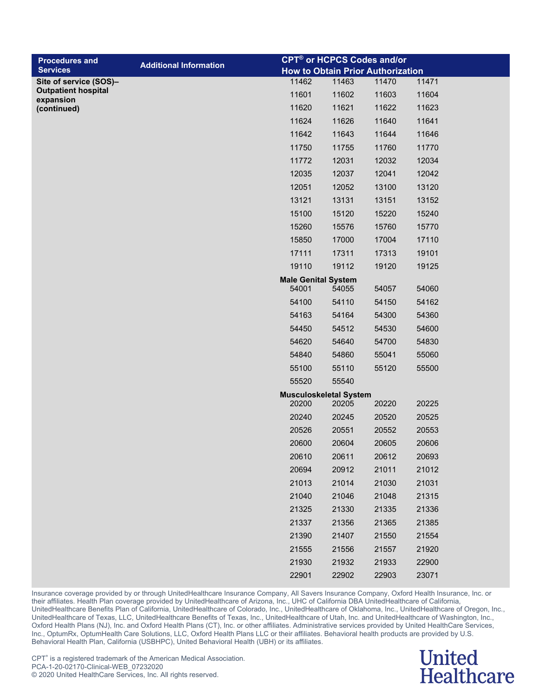| <b>Procedures and</b>                   |                               |                                        |       | <b>CPT<sup>®</sup> or HCPCS Codes and/or</b> |       |
|-----------------------------------------|-------------------------------|----------------------------------------|-------|----------------------------------------------|-------|
| <b>Services</b>                         | <b>Additional Information</b> |                                        |       | <b>How to Obtain Prior Authorization</b>     |       |
| Site of service (SOS)-                  |                               | 11462                                  | 11463 | 11470                                        | 11471 |
| <b>Outpatient hospital</b><br>expansion |                               | 11601                                  | 11602 | 11603                                        | 11604 |
| (continued)                             |                               | 11620                                  | 11621 | 11622                                        | 11623 |
|                                         |                               | 11624                                  | 11626 | 11640                                        | 11641 |
|                                         |                               | 11642                                  | 11643 | 11644                                        | 11646 |
|                                         |                               | 11750                                  | 11755 | 11760                                        | 11770 |
|                                         |                               | 11772                                  | 12031 | 12032                                        | 12034 |
|                                         |                               | 12035                                  | 12037 | 12041                                        | 12042 |
|                                         |                               | 12051                                  | 12052 | 13100                                        | 13120 |
|                                         |                               | 13121                                  | 13131 | 13151                                        | 13152 |
|                                         |                               | 15100                                  | 15120 | 15220                                        | 15240 |
|                                         |                               | 15260                                  | 15576 | 15760                                        | 15770 |
|                                         |                               | 15850                                  | 17000 | 17004                                        | 17110 |
|                                         |                               | 17111                                  | 17311 | 17313                                        | 19101 |
|                                         |                               | 19110                                  | 19112 | 19120                                        | 19125 |
|                                         |                               | <b>Male Genital System</b>             |       |                                              |       |
|                                         |                               | 54001                                  | 54055 | 54057                                        | 54060 |
|                                         |                               | 54100                                  | 54110 | 54150                                        | 54162 |
|                                         |                               | 54163                                  | 54164 | 54300                                        | 54360 |
|                                         |                               | 54450                                  | 54512 | 54530                                        | 54600 |
|                                         |                               | 54620                                  | 54640 | 54700                                        | 54830 |
|                                         |                               | 54840                                  | 54860 | 55041                                        | 55060 |
|                                         |                               | 55100                                  | 55110 | 55120                                        | 55500 |
|                                         |                               | 55520                                  | 55540 |                                              |       |
|                                         |                               | <b>Musculoskeletal System</b><br>20200 | 20205 | 20220                                        | 20225 |
|                                         |                               | 20240                                  | 20245 | 20520                                        | 20525 |
|                                         |                               | 20526                                  | 20551 | 20552                                        | 20553 |
|                                         |                               | 20600                                  | 20604 | 20605                                        | 20606 |
|                                         |                               | 20610                                  | 20611 | 20612                                        | 20693 |
|                                         |                               | 20694                                  | 20912 |                                              |       |
|                                         |                               |                                        |       | 21011                                        | 21012 |
|                                         |                               | 21013                                  | 21014 | 21030                                        | 21031 |
|                                         |                               | 21040                                  | 21046 | 21048                                        | 21315 |
|                                         |                               | 21325                                  | 21330 | 21335                                        | 21336 |
|                                         |                               | 21337                                  | 21356 | 21365                                        | 21385 |
|                                         |                               | 21390                                  | 21407 | 21550                                        | 21554 |
|                                         |                               | 21555                                  | 21556 | 21557                                        | 21920 |
|                                         |                               | 21930                                  | 21932 | 21933                                        | 22900 |
|                                         |                               | 22901                                  | 22902 | 22903                                        | 23071 |

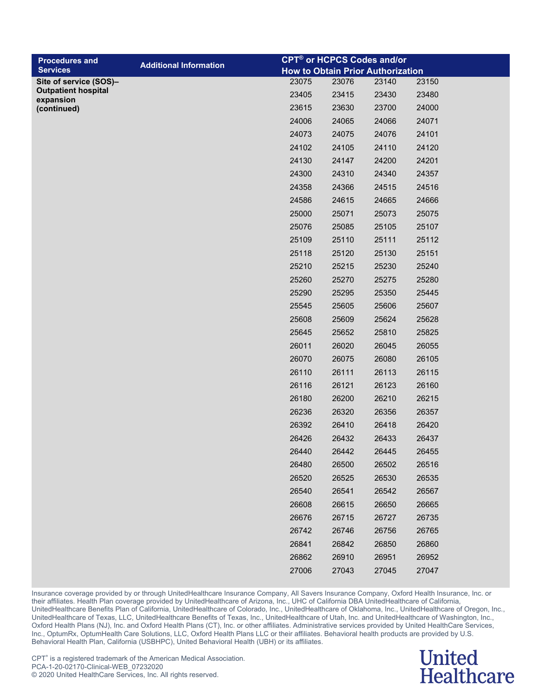| <b>Procedures and</b>                   |                               |       |       | <b>CPT<sup>®</sup> or HCPCS Codes and/or</b> |       |
|-----------------------------------------|-------------------------------|-------|-------|----------------------------------------------|-------|
| <b>Services</b>                         | <b>Additional Information</b> |       |       | <b>How to Obtain Prior Authorization</b>     |       |
| Site of service (SOS)-                  |                               | 23075 | 23076 | 23140                                        | 23150 |
| <b>Outpatient hospital</b><br>expansion |                               | 23405 | 23415 | 23430                                        | 23480 |
| (continued)                             |                               | 23615 | 23630 | 23700                                        | 24000 |
|                                         |                               | 24006 | 24065 | 24066                                        | 24071 |
|                                         |                               | 24073 | 24075 | 24076                                        | 24101 |
|                                         |                               | 24102 | 24105 | 24110                                        | 24120 |
|                                         |                               | 24130 | 24147 | 24200                                        | 24201 |
|                                         |                               | 24300 | 24310 | 24340                                        | 24357 |
|                                         |                               | 24358 | 24366 | 24515                                        | 24516 |
|                                         |                               | 24586 | 24615 | 24665                                        | 24666 |
|                                         |                               | 25000 | 25071 | 25073                                        | 25075 |
|                                         |                               | 25076 | 25085 | 25105                                        | 25107 |
|                                         |                               | 25109 | 25110 | 25111                                        | 25112 |
|                                         |                               | 25118 | 25120 | 25130                                        | 25151 |
|                                         |                               | 25210 | 25215 | 25230                                        | 25240 |
|                                         |                               | 25260 | 25270 | 25275                                        | 25280 |
|                                         |                               | 25290 | 25295 | 25350                                        | 25445 |
|                                         |                               | 25545 | 25605 | 25606                                        | 25607 |
|                                         |                               | 25608 | 25609 | 25624                                        | 25628 |
|                                         |                               | 25645 | 25652 | 25810                                        | 25825 |
|                                         |                               | 26011 | 26020 | 26045                                        | 26055 |
|                                         |                               | 26070 | 26075 | 26080                                        | 26105 |
|                                         |                               | 26110 | 26111 | 26113                                        | 26115 |
|                                         |                               | 26116 | 26121 | 26123                                        | 26160 |
|                                         |                               | 26180 | 26200 | 26210                                        | 26215 |
|                                         |                               | 26236 | 26320 | 26356                                        | 26357 |
|                                         |                               | 26392 | 26410 | 26418                                        | 26420 |
|                                         |                               | 26426 | 26432 | 26433                                        | 26437 |
|                                         |                               | 26440 | 26442 | 26445                                        | 26455 |
|                                         |                               | 26480 | 26500 | 26502                                        | 26516 |
|                                         |                               | 26520 | 26525 | 26530                                        | 26535 |
|                                         |                               | 26540 | 26541 | 26542                                        | 26567 |
|                                         |                               | 26608 | 26615 | 26650                                        | 26665 |
|                                         |                               | 26676 | 26715 | 26727                                        | 26735 |
|                                         |                               | 26742 | 26746 | 26756                                        | 26765 |
|                                         |                               | 26841 | 26842 | 26850                                        | 26860 |
|                                         |                               | 26862 | 26910 | 26951                                        | 26952 |

27043 27045 27047

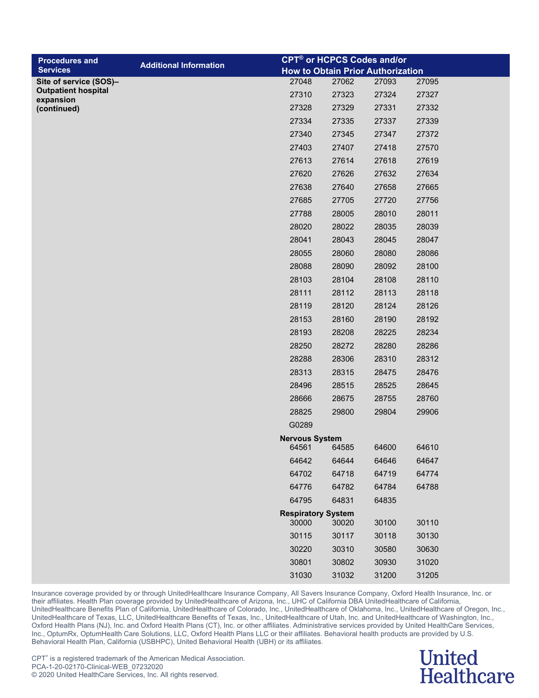| <b>Procedures and</b>                                |                               |                                | <b>CPT<sup>®</sup> or HCPCS Codes and/or</b> |       |       |
|------------------------------------------------------|-------------------------------|--------------------------------|----------------------------------------------|-------|-------|
| <b>Services</b>                                      | <b>Additional Information</b> |                                | <b>How to Obtain Prior Authorization</b>     |       |       |
| Site of service (SOS)-<br><b>Outpatient hospital</b> |                               | 27048                          | 27062                                        | 27093 | 27095 |
| expansion                                            |                               | 27310                          | 27323                                        | 27324 | 27327 |
| (continued)                                          |                               | 27328                          | 27329                                        | 27331 | 27332 |
|                                                      |                               | 27334                          | 27335                                        | 27337 | 27339 |
|                                                      |                               | 27340                          | 27345                                        | 27347 | 27372 |
|                                                      |                               | 27403                          | 27407                                        | 27418 | 27570 |
|                                                      |                               | 27613                          | 27614                                        | 27618 | 27619 |
|                                                      |                               | 27620                          | 27626                                        | 27632 | 27634 |
|                                                      |                               | 27638                          | 27640                                        | 27658 | 27665 |
|                                                      |                               | 27685                          | 27705                                        | 27720 | 27756 |
|                                                      |                               | 27788                          | 28005                                        | 28010 | 28011 |
|                                                      |                               | 28020                          | 28022                                        | 28035 | 28039 |
|                                                      |                               | 28041                          | 28043                                        | 28045 | 28047 |
|                                                      |                               | 28055                          | 28060                                        | 28080 | 28086 |
|                                                      |                               | 28088                          | 28090                                        | 28092 | 28100 |
|                                                      |                               | 28103                          | 28104                                        | 28108 | 28110 |
|                                                      |                               | 28111                          | 28112                                        | 28113 | 28118 |
|                                                      |                               | 28119                          | 28120                                        | 28124 | 28126 |
|                                                      |                               | 28153                          | 28160                                        | 28190 | 28192 |
|                                                      |                               | 28193                          | 28208                                        | 28225 | 28234 |
|                                                      |                               | 28250                          | 28272                                        | 28280 | 28286 |
|                                                      |                               | 28288                          | 28306                                        | 28310 | 28312 |
|                                                      |                               | 28313                          | 28315                                        | 28475 | 28476 |
|                                                      |                               | 28496                          | 28515                                        | 28525 | 28645 |
|                                                      |                               | 28666                          | 28675                                        | 28755 | 28760 |
|                                                      |                               | 28825                          | 29800                                        | 29804 | 29906 |
|                                                      |                               | G0289                          |                                              |       |       |
|                                                      |                               | <b>Nervous System</b><br>64561 | 64585                                        | 64600 | 64610 |
|                                                      |                               | 64642                          | 64644                                        | 64646 | 64647 |
|                                                      |                               | 64702                          | 64718                                        | 64719 | 64774 |
|                                                      |                               | 64776                          | 64782                                        | 64784 | 64788 |
|                                                      |                               | 64795                          | 64831                                        | 64835 |       |
|                                                      |                               | <b>Respiratory System</b>      |                                              |       |       |
|                                                      |                               | 30000                          | 30020                                        | 30100 | 30110 |
|                                                      |                               | 30115                          | 30117                                        | 30118 | 30130 |
|                                                      |                               | 30220                          | 30310                                        | 30580 | 30630 |
|                                                      |                               | 30801                          | 30802                                        | 30930 | 31020 |
|                                                      |                               | 31030                          | 31032                                        | 31200 | 31205 |

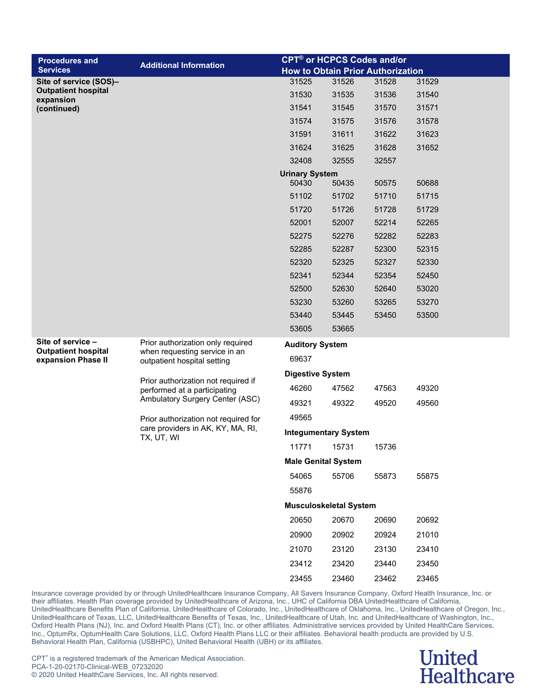| <b>Procedures and</b>                           | <b>Additional Information</b>                                                                                                                                                       |                             | <b>CPT<sup>®</sup> or HCPCS Codes and/or</b> |       |       |  |  |  |
|-------------------------------------------------|-------------------------------------------------------------------------------------------------------------------------------------------------------------------------------------|-----------------------------|----------------------------------------------|-------|-------|--|--|--|
| <b>Services</b>                                 |                                                                                                                                                                                     |                             | <b>How to Obtain Prior Authorization</b>     |       |       |  |  |  |
| Site of service (SOS)-                          |                                                                                                                                                                                     | 31525                       | 31526                                        | 31528 | 31529 |  |  |  |
| <b>Outpatient hospital</b><br>expansion         |                                                                                                                                                                                     | 31530                       | 31535                                        | 31536 | 31540 |  |  |  |
| (continued)                                     |                                                                                                                                                                                     | 31541                       | 31545                                        | 31570 | 31571 |  |  |  |
|                                                 |                                                                                                                                                                                     | 31574                       | 31575                                        | 31576 | 31578 |  |  |  |
|                                                 |                                                                                                                                                                                     | 31591                       | 31611                                        | 31622 | 31623 |  |  |  |
|                                                 |                                                                                                                                                                                     | 31624                       | 31625                                        | 31628 | 31652 |  |  |  |
|                                                 |                                                                                                                                                                                     | 32408                       | 32555                                        | 32557 |       |  |  |  |
|                                                 |                                                                                                                                                                                     | <b>Urinary System</b>       |                                              |       |       |  |  |  |
|                                                 |                                                                                                                                                                                     | 50430                       | 50435                                        | 50575 | 50688 |  |  |  |
|                                                 |                                                                                                                                                                                     | 51102                       | 51702                                        | 51710 | 51715 |  |  |  |
|                                                 |                                                                                                                                                                                     | 51720                       | 51726                                        | 51728 | 51729 |  |  |  |
|                                                 |                                                                                                                                                                                     | 52001                       | 52007                                        | 52214 | 52265 |  |  |  |
|                                                 |                                                                                                                                                                                     | 52275                       | 52276                                        | 52282 | 52283 |  |  |  |
|                                                 |                                                                                                                                                                                     | 52285                       | 52287                                        | 52300 | 52315 |  |  |  |
|                                                 |                                                                                                                                                                                     | 52320                       | 52325                                        | 52327 | 52330 |  |  |  |
|                                                 |                                                                                                                                                                                     | 52341                       | 52344                                        | 52354 | 52450 |  |  |  |
|                                                 |                                                                                                                                                                                     | 52500                       | 52630                                        | 52640 | 53020 |  |  |  |
|                                                 |                                                                                                                                                                                     | 53230                       | 53260                                        | 53265 | 53270 |  |  |  |
|                                                 |                                                                                                                                                                                     | 53440                       | 53445                                        | 53450 | 53500 |  |  |  |
|                                                 |                                                                                                                                                                                     | 53605                       | 53665                                        |       |       |  |  |  |
| Site of service -<br><b>Outpatient hospital</b> | Prior authorization only required                                                                                                                                                   | <b>Auditory System</b>      |                                              |       |       |  |  |  |
| expansion Phase II                              | when requesting service in an<br>outpatient hospital setting                                                                                                                        | 69637                       |                                              |       |       |  |  |  |
|                                                 |                                                                                                                                                                                     | <b>Digestive System</b>     |                                              |       |       |  |  |  |
|                                                 | Prior authorization not required if<br>performed at a participating<br>Ambulatory Surgery Center (ASC)<br>Prior authorization not required for<br>care providers in AK, KY, MA, RI, | 46260                       | 47562                                        | 47563 | 49320 |  |  |  |
|                                                 |                                                                                                                                                                                     | 49321                       | 49322                                        | 49520 | 49560 |  |  |  |
|                                                 |                                                                                                                                                                                     | 49565                       |                                              |       |       |  |  |  |
|                                                 |                                                                                                                                                                                     | <b>Integumentary System</b> |                                              |       |       |  |  |  |
|                                                 | TX, UT, WI                                                                                                                                                                          | 11771                       | 15731                                        | 15736 |       |  |  |  |
|                                                 |                                                                                                                                                                                     |                             | <b>Male Genital System</b>                   |       |       |  |  |  |
|                                                 |                                                                                                                                                                                     | 54065                       | 55706                                        | 55873 | 55875 |  |  |  |
|                                                 |                                                                                                                                                                                     | 55876                       |                                              |       |       |  |  |  |
|                                                 |                                                                                                                                                                                     |                             | <b>Musculoskeletal System</b>                |       |       |  |  |  |
|                                                 |                                                                                                                                                                                     | 20650                       | 20670                                        | 20690 | 20692 |  |  |  |
|                                                 |                                                                                                                                                                                     | 20900                       | 20902                                        | 20924 | 21010 |  |  |  |
|                                                 |                                                                                                                                                                                     | 21070                       | 23120                                        | 23130 | 23410 |  |  |  |
|                                                 |                                                                                                                                                                                     | 23412                       | 23420                                        | 23440 | 23450 |  |  |  |
|                                                 |                                                                                                                                                                                     | 23455                       | 23460                                        | 23462 | 23465 |  |  |  |

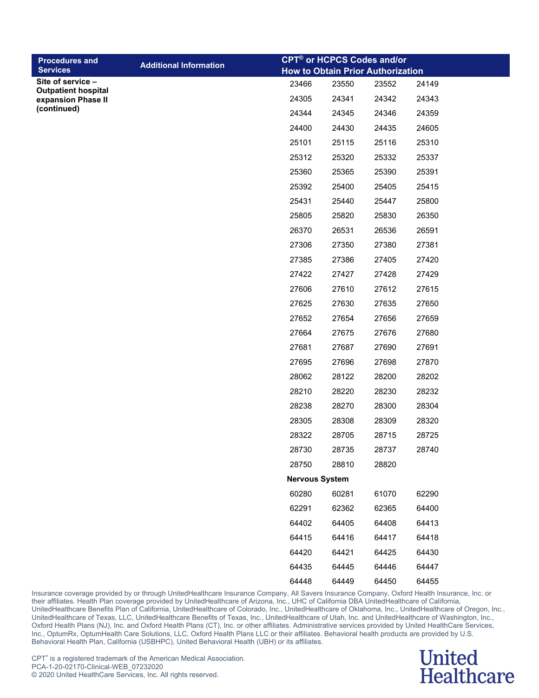| <b>Procedures and</b>                           |                               |                       |       | <b>CPT<sup>®</sup> or HCPCS Codes and/or</b> |       |
|-------------------------------------------------|-------------------------------|-----------------------|-------|----------------------------------------------|-------|
| <b>Services</b>                                 | <b>Additional Information</b> |                       |       | <b>How to Obtain Prior Authorization</b>     |       |
| Site of service -<br><b>Outpatient hospital</b> |                               | 23466                 | 23550 | 23552                                        | 24149 |
| expansion Phase II                              |                               | 24305                 | 24341 | 24342                                        | 24343 |
| (continued)                                     |                               | 24344                 | 24345 | 24346                                        | 24359 |
|                                                 |                               | 24400                 | 24430 | 24435                                        | 24605 |
|                                                 |                               | 25101                 | 25115 | 25116                                        | 25310 |
|                                                 |                               | 25312                 | 25320 | 25332                                        | 25337 |
|                                                 |                               | 25360                 | 25365 | 25390                                        | 25391 |
|                                                 |                               | 25392                 | 25400 | 25405                                        | 25415 |
|                                                 |                               | 25431                 | 25440 | 25447                                        | 25800 |
|                                                 |                               | 25805                 | 25820 | 25830                                        | 26350 |
|                                                 |                               | 26370                 | 26531 | 26536                                        | 26591 |
|                                                 |                               | 27306                 | 27350 | 27380                                        | 27381 |
|                                                 |                               | 27385                 | 27386 | 27405                                        | 27420 |
|                                                 |                               | 27422                 | 27427 | 27428                                        | 27429 |
|                                                 |                               | 27606                 | 27610 | 27612                                        | 27615 |
|                                                 |                               | 27625                 | 27630 | 27635                                        | 27650 |
|                                                 |                               | 27652                 | 27654 | 27656                                        | 27659 |
|                                                 |                               | 27664                 | 27675 | 27676                                        | 27680 |
|                                                 |                               | 27681                 | 27687 | 27690                                        | 27691 |
|                                                 |                               | 27695                 | 27696 | 27698                                        | 27870 |
|                                                 |                               | 28062                 | 28122 | 28200                                        | 28202 |
|                                                 |                               | 28210                 | 28220 | 28230                                        | 28232 |
|                                                 |                               | 28238                 | 28270 | 28300                                        | 28304 |
|                                                 |                               | 28305                 | 28308 | 28309                                        | 28320 |
|                                                 |                               | 28322                 | 28705 | 28715                                        | 28725 |
|                                                 |                               | 28730                 | 28735 | 28737                                        | 28740 |
|                                                 |                               | 28750                 | 28810 | 28820                                        |       |
|                                                 |                               | <b>Nervous System</b> |       |                                              |       |
|                                                 |                               | 60280                 | 60281 | 61070                                        | 62290 |
|                                                 |                               | 62291                 | 62362 | 62365                                        | 64400 |
|                                                 |                               | 64402                 | 64405 | 64408                                        | 64413 |
|                                                 |                               | 64415                 | 64416 | 64417                                        | 64418 |
|                                                 |                               | 64420                 | 64421 | 64425                                        | 64430 |
|                                                 |                               | 64435                 | 64445 | 64446                                        | 64447 |

64449 64450 64455

Insurance coverage provided by or through UnitedHealthcare Insurance Company, All Savers Insurance Company, Oxford Health Insurance, Inc. or their affiliates. Health Plan coverage provided by UnitedHealthcare of Arizona, Inc., UHC of California DBA UnitedHealthcare of California, UnitedHealthcare Benefits Plan of California, UnitedHealthcare of Colorado, Inc., UnitedHealthcare of Oklahoma, Inc., UnitedHealthcare of Oregon, Inc., UnitedHealthcare of Texas, LLC, UnitedHealthcare Benefits of Texas, Inc., UnitedHealthcare of Utah, Inc. and UnitedHealthcare of Washington, Inc., Oxford Health Plans (NJ), Inc. and Oxford Health Plans (CT), Inc. or other affiliates. Administrative services provided by United HealthCare Services, Inc., OptumRx, OptumHealth Care Solutions, LLC, Oxford Health Plans LLC or their affiliates. Behavioral health products are provided by U.S. Behavioral Health Plan, California (USBHPC), United Behavioral Health (UBH) or its affiliates.

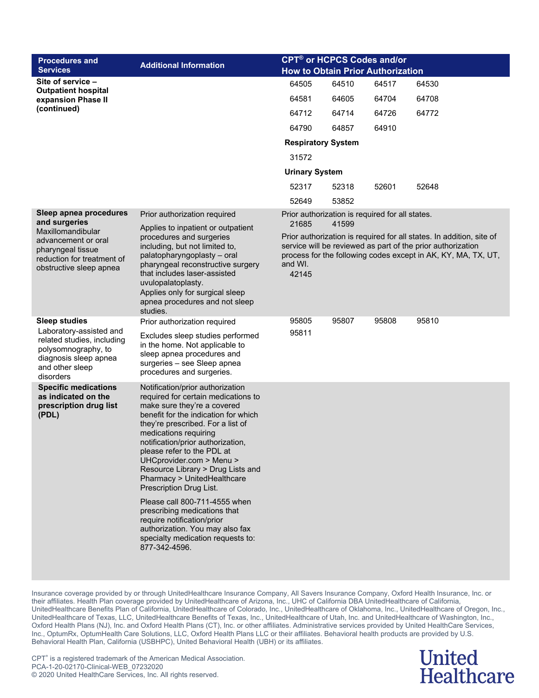| <b>Procedures and</b><br><b>Services</b>                                                                                              | <b>Additional Information</b>                                                                                                                                                                                                                                                                                                                                                                                                                                                                                                                                                                      | <b>CPT<sup>®</sup> or HCPCS Codes and/or</b><br><b>How to Obtain Prior Authorization</b> |       |       |                                                                                                                                                                                                      |  |
|---------------------------------------------------------------------------------------------------------------------------------------|----------------------------------------------------------------------------------------------------------------------------------------------------------------------------------------------------------------------------------------------------------------------------------------------------------------------------------------------------------------------------------------------------------------------------------------------------------------------------------------------------------------------------------------------------------------------------------------------------|------------------------------------------------------------------------------------------|-------|-------|------------------------------------------------------------------------------------------------------------------------------------------------------------------------------------------------------|--|
| Site of service -<br><b>Outpatient hospital</b>                                                                                       |                                                                                                                                                                                                                                                                                                                                                                                                                                                                                                                                                                                                    | 64505                                                                                    | 64510 | 64517 | 64530                                                                                                                                                                                                |  |
| expansion Phase II                                                                                                                    |                                                                                                                                                                                                                                                                                                                                                                                                                                                                                                                                                                                                    | 64581                                                                                    | 64605 | 64704 | 64708                                                                                                                                                                                                |  |
| (continued)                                                                                                                           |                                                                                                                                                                                                                                                                                                                                                                                                                                                                                                                                                                                                    | 64712                                                                                    | 64714 | 64726 | 64772                                                                                                                                                                                                |  |
|                                                                                                                                       |                                                                                                                                                                                                                                                                                                                                                                                                                                                                                                                                                                                                    | 64790                                                                                    | 64857 | 64910 |                                                                                                                                                                                                      |  |
|                                                                                                                                       |                                                                                                                                                                                                                                                                                                                                                                                                                                                                                                                                                                                                    | <b>Respiratory System</b>                                                                |       |       |                                                                                                                                                                                                      |  |
|                                                                                                                                       |                                                                                                                                                                                                                                                                                                                                                                                                                                                                                                                                                                                                    | 31572                                                                                    |       |       |                                                                                                                                                                                                      |  |
|                                                                                                                                       |                                                                                                                                                                                                                                                                                                                                                                                                                                                                                                                                                                                                    | <b>Urinary System</b>                                                                    |       |       |                                                                                                                                                                                                      |  |
|                                                                                                                                       |                                                                                                                                                                                                                                                                                                                                                                                                                                                                                                                                                                                                    | 52317                                                                                    | 52318 | 52601 | 52648                                                                                                                                                                                                |  |
|                                                                                                                                       |                                                                                                                                                                                                                                                                                                                                                                                                                                                                                                                                                                                                    | 52649                                                                                    | 53852 |       |                                                                                                                                                                                                      |  |
| Sleep apnea procedures<br>and surgeries                                                                                               | Prior authorization required<br>Applies to inpatient or outpatient                                                                                                                                                                                                                                                                                                                                                                                                                                                                                                                                 | Prior authorization is required for all states.<br>21685                                 | 41599 |       |                                                                                                                                                                                                      |  |
| Maxillomandibular<br>advancement or oral<br>pharyngeal tissue<br>reduction for treatment of<br>obstructive sleep apnea                | procedures and surgeries<br>including, but not limited to,<br>palatopharyngoplasty - oral<br>pharyngeal reconstructive surgery<br>that includes laser-assisted<br>uvulopalatoplasty.<br>Applies only for surgical sleep<br>apnea procedures and not sleep<br>studies.                                                                                                                                                                                                                                                                                                                              | and WI.<br>42145                                                                         |       |       | Prior authorization is required for all states. In addition, site of<br>service will be reviewed as part of the prior authorization<br>process for the following codes except in AK, KY, MA, TX, UT, |  |
| <b>Sleep studies</b>                                                                                                                  | Prior authorization required                                                                                                                                                                                                                                                                                                                                                                                                                                                                                                                                                                       | 95805                                                                                    | 95807 | 95808 | 95810                                                                                                                                                                                                |  |
| Laboratory-assisted and<br>related studies, including<br>polysomnography, to<br>diagnosis sleep apnea<br>and other sleep<br>disorders | Excludes sleep studies performed<br>in the home. Not applicable to<br>sleep apnea procedures and<br>surgeries - see Sleep apnea<br>procedures and surgeries.                                                                                                                                                                                                                                                                                                                                                                                                                                       | 95811                                                                                    |       |       |                                                                                                                                                                                                      |  |
| <b>Specific medications</b><br>as indicated on the<br>prescription drug list<br>(PDL)                                                 | Notification/prior authorization<br>required for certain medications to<br>make sure they're a covered<br>benefit for the indication for which<br>they're prescribed. For a list of<br>medications requiring<br>notification/prior authorization,<br>please refer to the PDL at<br>UHCprovider.com > Menu ><br>Resource Library > Drug Lists and<br>Pharmacy > UnitedHealthcare<br>Prescription Drug List.<br>Please call 800-711-4555 when<br>prescribing medications that<br>require notification/prior<br>authorization. You may also fax<br>specialty medication requests to:<br>877-342-4596. |                                                                                          |       |       |                                                                                                                                                                                                      |  |

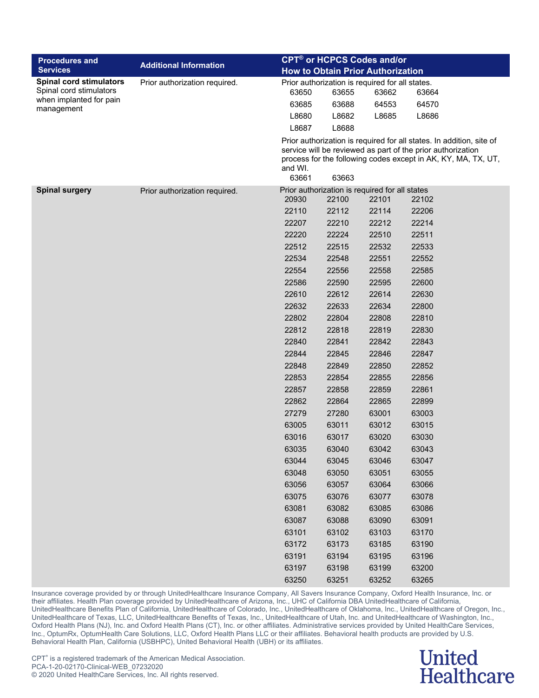| <b>Procedures and</b>                              |                               |         | <b>CPT<sup>®</sup> or HCPCS Codes and/or</b>            |       |                                                                                                                                                                                                      |
|----------------------------------------------------|-------------------------------|---------|---------------------------------------------------------|-------|------------------------------------------------------------------------------------------------------------------------------------------------------------------------------------------------------|
| <b>Services</b>                                    | <b>Additional Information</b> |         | <b>How to Obtain Prior Authorization</b>                |       |                                                                                                                                                                                                      |
| <b>Spinal cord stimulators</b>                     | Prior authorization required. |         | Prior authorization is required for all states.         |       |                                                                                                                                                                                                      |
| Spinal cord stimulators<br>when implanted for pain |                               | 63650   | 63655                                                   | 63662 | 63664                                                                                                                                                                                                |
| management                                         |                               | 63685   | 63688                                                   | 64553 | 64570                                                                                                                                                                                                |
|                                                    |                               | L8680   | L8682                                                   | L8685 | L8686                                                                                                                                                                                                |
|                                                    |                               | L8687   | L8688                                                   |       |                                                                                                                                                                                                      |
|                                                    |                               | and WI. |                                                         |       | Prior authorization is required for all states. In addition, site of<br>service will be reviewed as part of the prior authorization<br>process for the following codes except in AK, KY, MA, TX, UT, |
|                                                    |                               | 63661   | 63663                                                   |       |                                                                                                                                                                                                      |
| <b>Spinal surgery</b>                              | Prior authorization required. | 20930   | Prior authorization is required for all states<br>22100 | 22101 | 22102                                                                                                                                                                                                |
|                                                    |                               | 22110   | 22112                                                   | 22114 | 22206                                                                                                                                                                                                |
|                                                    |                               | 22207   | 22210                                                   | 22212 | 22214                                                                                                                                                                                                |
|                                                    |                               | 22220   | 22224                                                   | 22510 | 22511                                                                                                                                                                                                |
|                                                    |                               | 22512   | 22515                                                   | 22532 | 22533                                                                                                                                                                                                |
|                                                    |                               | 22534   | 22548                                                   | 22551 | 22552                                                                                                                                                                                                |
|                                                    |                               | 22554   | 22556                                                   | 22558 | 22585                                                                                                                                                                                                |
|                                                    |                               | 22586   | 22590                                                   | 22595 | 22600                                                                                                                                                                                                |
|                                                    |                               | 22610   | 22612                                                   | 22614 | 22630                                                                                                                                                                                                |
|                                                    |                               | 22632   | 22633                                                   | 22634 | 22800                                                                                                                                                                                                |
|                                                    |                               | 22802   | 22804                                                   | 22808 | 22810                                                                                                                                                                                                |
|                                                    |                               | 22812   | 22818                                                   | 22819 | 22830                                                                                                                                                                                                |
|                                                    |                               | 22840   | 22841                                                   | 22842 | 22843                                                                                                                                                                                                |
|                                                    |                               | 22844   | 22845                                                   | 22846 | 22847                                                                                                                                                                                                |
|                                                    |                               | 22848   | 22849                                                   | 22850 | 22852                                                                                                                                                                                                |
|                                                    |                               | 22853   | 22854                                                   | 22855 | 22856                                                                                                                                                                                                |
|                                                    |                               | 22857   | 22858                                                   | 22859 | 22861                                                                                                                                                                                                |
|                                                    |                               | 22862   | 22864                                                   | 22865 | 22899                                                                                                                                                                                                |
|                                                    |                               | 27279   | 27280                                                   | 63001 | 63003                                                                                                                                                                                                |
|                                                    |                               | 63005   | 63011                                                   | 63012 | 63015                                                                                                                                                                                                |
|                                                    |                               | 63016   | 63017                                                   | 63020 | 63030                                                                                                                                                                                                |
|                                                    |                               | 63035   | 63040                                                   | 63042 | 63043                                                                                                                                                                                                |
|                                                    |                               | 63044   | 63045                                                   | 63046 | 63047                                                                                                                                                                                                |
|                                                    |                               | 63048   | 63050                                                   | 63051 | 63055                                                                                                                                                                                                |
|                                                    |                               | 63056   | 63057                                                   | 63064 | 63066                                                                                                                                                                                                |
|                                                    |                               | 63075   | 63076                                                   | 63077 | 63078                                                                                                                                                                                                |
|                                                    |                               | 63081   | 63082                                                   | 63085 | 63086                                                                                                                                                                                                |
|                                                    |                               | 63087   | 63088                                                   | 63090 | 63091                                                                                                                                                                                                |
|                                                    |                               | 63101   | 63102                                                   | 63103 | 63170                                                                                                                                                                                                |
|                                                    |                               | 63172   | 63173                                                   | 63185 | 63190                                                                                                                                                                                                |
|                                                    |                               | 63191   | 63194                                                   | 63195 | 63196                                                                                                                                                                                                |
|                                                    |                               | 63197   | 63198                                                   | 63199 | 63200                                                                                                                                                                                                |
|                                                    |                               | 63250   | 63251                                                   | 63252 | 63265                                                                                                                                                                                                |

### **United Healthcare**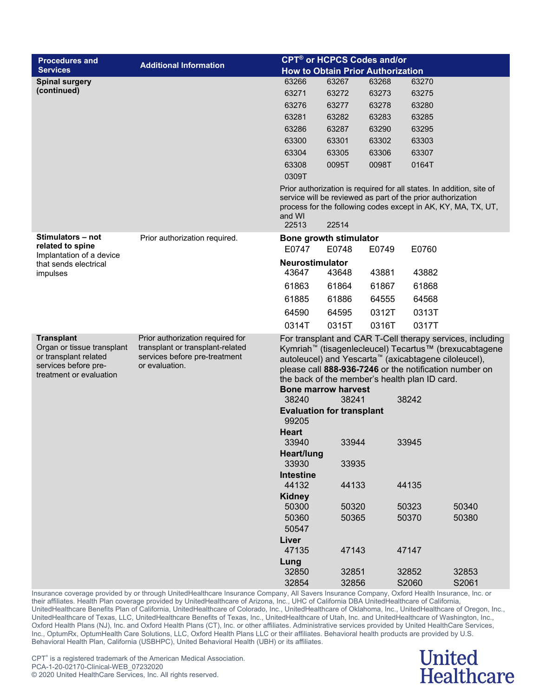| <b>Procedures and</b>                                                                                                       | <b>Additional Information</b>                                                                                           |                                           | <b>CPT<sup>®</sup> or HCPCS Codes and/or</b> |       |                                                                                                                   |                                                                                                                                                                                          |
|-----------------------------------------------------------------------------------------------------------------------------|-------------------------------------------------------------------------------------------------------------------------|-------------------------------------------|----------------------------------------------|-------|-------------------------------------------------------------------------------------------------------------------|------------------------------------------------------------------------------------------------------------------------------------------------------------------------------------------|
| <b>Services</b>                                                                                                             |                                                                                                                         |                                           | <b>How to Obtain Prior Authorization</b>     |       |                                                                                                                   |                                                                                                                                                                                          |
| <b>Spinal surgery</b>                                                                                                       |                                                                                                                         | 63266                                     | 63267                                        | 63268 | 63270                                                                                                             |                                                                                                                                                                                          |
| (continued)                                                                                                                 |                                                                                                                         | 63271                                     | 63272                                        | 63273 | 63275                                                                                                             |                                                                                                                                                                                          |
|                                                                                                                             |                                                                                                                         | 63276                                     | 63277                                        | 63278 | 63280                                                                                                             |                                                                                                                                                                                          |
|                                                                                                                             |                                                                                                                         | 63281                                     | 63282                                        | 63283 | 63285                                                                                                             |                                                                                                                                                                                          |
|                                                                                                                             |                                                                                                                         | 63286                                     | 63287                                        | 63290 | 63295                                                                                                             |                                                                                                                                                                                          |
|                                                                                                                             |                                                                                                                         | 63300                                     | 63301                                        | 63302 | 63303                                                                                                             |                                                                                                                                                                                          |
|                                                                                                                             |                                                                                                                         | 63304                                     | 63305                                        | 63306 | 63307                                                                                                             |                                                                                                                                                                                          |
|                                                                                                                             |                                                                                                                         | 63308                                     | 0095T                                        | 0098T | 0164T                                                                                                             |                                                                                                                                                                                          |
|                                                                                                                             |                                                                                                                         | 0309T                                     |                                              |       |                                                                                                                   |                                                                                                                                                                                          |
|                                                                                                                             |                                                                                                                         | and WI<br>22513                           | 22514                                        |       | service will be reviewed as part of the prior authorization                                                       | Prior authorization is required for all states. In addition, site of<br>process for the following codes except in AK, KY, MA, TX, UT,                                                    |
| Stimulators – not<br>related to spine                                                                                       | Prior authorization required.                                                                                           | Bone growth stimulator<br>E0747           | E0748                                        | E0749 | E0760                                                                                                             |                                                                                                                                                                                          |
| Implantation of a device                                                                                                    |                                                                                                                         | Neurostimulator                           |                                              |       |                                                                                                                   |                                                                                                                                                                                          |
| that sends electrical<br>impulses                                                                                           |                                                                                                                         | 43647                                     | 43648                                        | 43881 | 43882                                                                                                             |                                                                                                                                                                                          |
|                                                                                                                             |                                                                                                                         | 61863                                     | 61864                                        | 61867 | 61868                                                                                                             |                                                                                                                                                                                          |
|                                                                                                                             |                                                                                                                         | 61885                                     | 61886                                        | 64555 | 64568                                                                                                             |                                                                                                                                                                                          |
|                                                                                                                             |                                                                                                                         | 64590                                     | 64595                                        | 0312T | 0313T                                                                                                             |                                                                                                                                                                                          |
|                                                                                                                             |                                                                                                                         | 0314T                                     | 0315T                                        | 0316T | 0317T                                                                                                             |                                                                                                                                                                                          |
| <b>Transplant</b><br>Organ or tissue transplant<br>or transplant related<br>services before pre-<br>treatment or evaluation | Prior authorization required for<br>transplant or transplant-related<br>services before pre-treatment<br>or evaluation. | <b>Bone marrow harvest</b>                |                                              |       | autoleucel) and Yescarta <sup>™</sup> (axicabtagene ciloleucel),<br>the back of the member's health plan ID card. | For transplant and CAR T-Cell therapy services, including<br>Kymriah <sup>™</sup> (tisagenlecleucel) Tecartus™ (brexucabtagene<br>please call 888-936-7246 or the notification number on |
|                                                                                                                             |                                                                                                                         | 38240                                     | 38241                                        |       | 38242                                                                                                             |                                                                                                                                                                                          |
|                                                                                                                             |                                                                                                                         | <b>Evaluation for transplant</b><br>99205 |                                              |       |                                                                                                                   |                                                                                                                                                                                          |
|                                                                                                                             |                                                                                                                         | <b>Heart</b><br>33940                     | 33944                                        |       | 33945                                                                                                             |                                                                                                                                                                                          |
|                                                                                                                             |                                                                                                                         | Heart/lung<br>33930                       | 33935                                        |       |                                                                                                                   |                                                                                                                                                                                          |
|                                                                                                                             |                                                                                                                         | <b>Intestine</b><br>44132                 | 44133                                        |       | 44135                                                                                                             |                                                                                                                                                                                          |
|                                                                                                                             |                                                                                                                         | <b>Kidney</b>                             |                                              |       |                                                                                                                   |                                                                                                                                                                                          |
|                                                                                                                             |                                                                                                                         | 50300                                     | 50320                                        |       | 50323                                                                                                             | 50340                                                                                                                                                                                    |
|                                                                                                                             |                                                                                                                         | 50360                                     | 50365                                        |       | 50370                                                                                                             | 50380                                                                                                                                                                                    |
|                                                                                                                             |                                                                                                                         | 50547                                     |                                              |       |                                                                                                                   |                                                                                                                                                                                          |
|                                                                                                                             |                                                                                                                         | Liver                                     |                                              |       |                                                                                                                   |                                                                                                                                                                                          |
|                                                                                                                             |                                                                                                                         | 47135<br>Lung                             | 47143                                        |       | 47147                                                                                                             |                                                                                                                                                                                          |
|                                                                                                                             |                                                                                                                         | 32850                                     | 32851                                        |       | 32852                                                                                                             | 32853                                                                                                                                                                                    |
|                                                                                                                             |                                                                                                                         | 32854                                     | 32856                                        |       | S2060                                                                                                             | S2061                                                                                                                                                                                    |

### **United** Healthcare